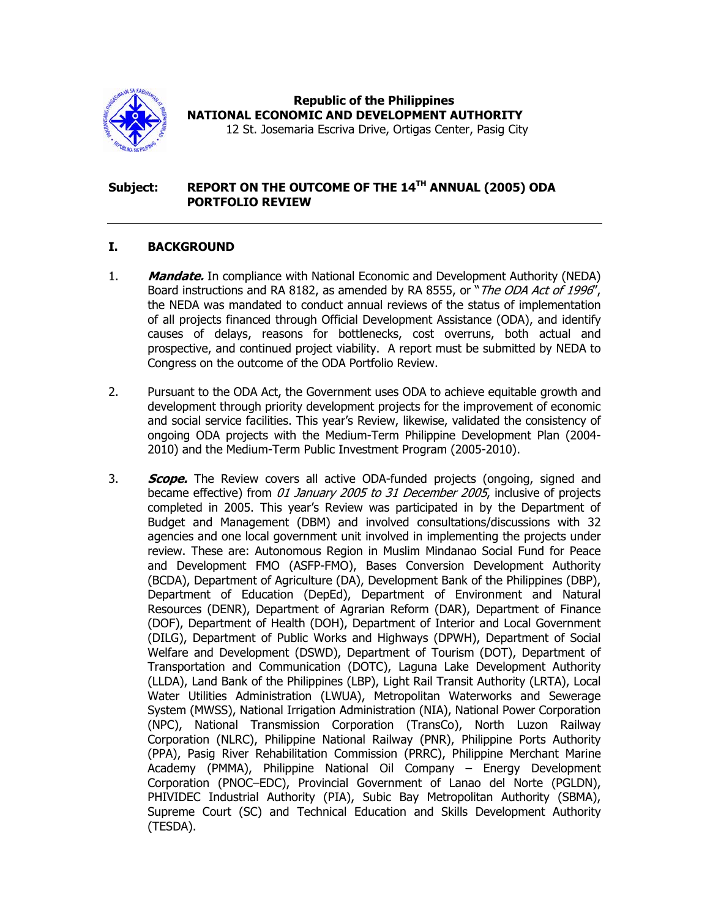

 **Republic of the Philippines NATIONAL ECONOMIC AND DEVELOPMENT AUTHORITY** 

12 St. Josemaria Escriva Drive, Ortigas Center, Pasig City

## **Subject: REPORT ON THE OUTCOME OF THE 14TH ANNUAL (2005) ODA PORTFOLIO REVIEW**

## **I. BACKGROUND**

- 1. **Mandate.** In compliance with National Economic and Development Authority (NEDA) Board instructions and RA 8182, as amended by RA 8555, or "The ODA Act of 1996", the NEDA was mandated to conduct annual reviews of the status of implementation of all projects financed through Official Development Assistance (ODA), and identify causes of delays, reasons for bottlenecks, cost overruns, both actual and prospective, and continued project viability. A report must be submitted by NEDA to Congress on the outcome of the ODA Portfolio Review.
- 2. Pursuant to the ODA Act, the Government uses ODA to achieve equitable growth and development through priority development projects for the improvement of economic and social service facilities. This year's Review, likewise, validated the consistency of ongoing ODA projects with the Medium-Term Philippine Development Plan (2004- 2010) and the Medium-Term Public Investment Program (2005-2010).
- 3. **Scope.** The Review covers all active ODA-funded projects (ongoing, signed and became effective) from *01 January 2005 to 31 December 2005*, inclusive of projects completed in 2005. This year's Review was participated in by the Department of Budget and Management (DBM) and involved consultations/discussions with 32 agencies and one local government unit involved in implementing the projects under review. These are: Autonomous Region in Muslim Mindanao Social Fund for Peace and Development FMO (ASFP-FMO), Bases Conversion Development Authority (BCDA), Department of Agriculture (DA), Development Bank of the Philippines (DBP), Department of Education (DepEd), Department of Environment and Natural Resources (DENR), Department of Agrarian Reform (DAR), Department of Finance (DOF), Department of Health (DOH), Department of Interior and Local Government (DILG), Department of Public Works and Highways (DPWH), Department of Social Welfare and Development (DSWD), Department of Tourism (DOT), Department of Transportation and Communication (DOTC), Laguna Lake Development Authority (LLDA), Land Bank of the Philippines (LBP), Light Rail Transit Authority (LRTA), Local Water Utilities Administration (LWUA), Metropolitan Waterworks and Sewerage System (MWSS), National Irrigation Administration (NIA), National Power Corporation (NPC), National Transmission Corporation (TransCo), North Luzon Railway Corporation (NLRC), Philippine National Railway (PNR), Philippine Ports Authority (PPA), Pasig River Rehabilitation Commission (PRRC), Philippine Merchant Marine Academy (PMMA), Philippine National Oil Company – Energy Development Corporation (PNOC–EDC), Provincial Government of Lanao del Norte (PGLDN), PHIVIDEC Industrial Authority (PIA), Subic Bay Metropolitan Authority (SBMA), Supreme Court (SC) and Technical Education and Skills Development Authority (TESDA).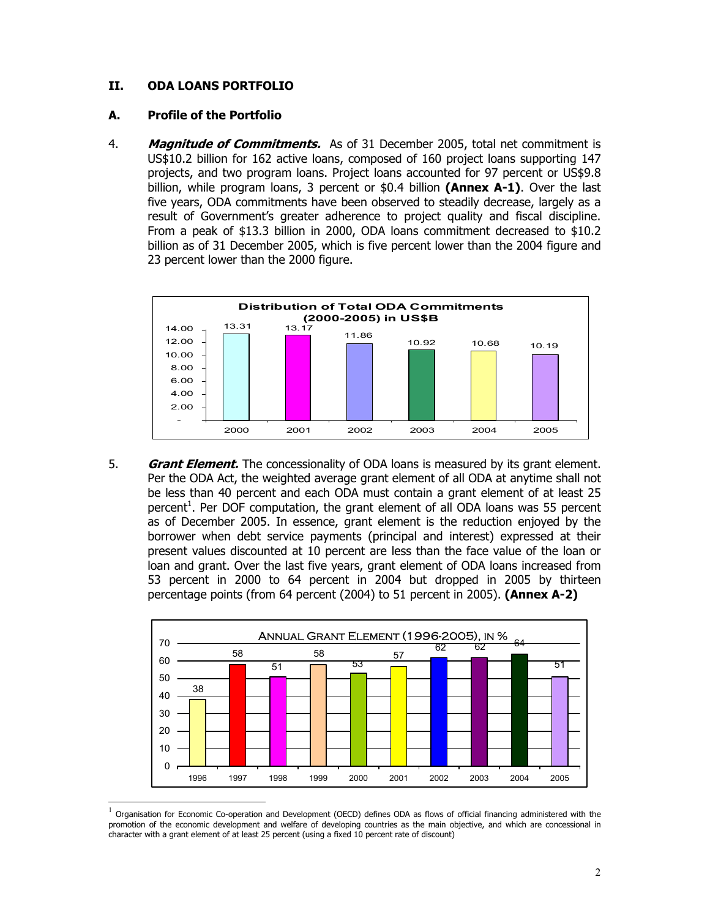# **II. ODA LOANS PORTFOLIO**

### **A. Profile of the Portfolio**

l

4. **Magnitude of Commitments.** As of 31 December 2005, total net commitment is US\$10.2 billion for 162 active loans, composed of 160 project loans supporting 147 projects, and two program loans. Project loans accounted for 97 percent or US\$9.8 billion, while program loans, 3 percent or \$0.4 billion **(Annex A-1)**. Over the last five years, ODA commitments have been observed to steadily decrease, largely as a result of Government's greater adherence to project quality and fiscal discipline. From a peak of \$13.3 billion in 2000, ODA loans commitment decreased to \$10.2 billion as of 31 December 2005, which is five percent lower than the 2004 figure and 23 percent lower than the 2000 figure.



5. **Grant Element.** The concessionality of ODA loans is measured by its grant element. Per the ODA Act, the weighted average grant element of all ODA at anytime shall not be less than 40 percent and each ODA must contain a grant element of at least 25 percent<sup>1</sup>. Per DOF computation, the grant element of all ODA loans was 55 percent as of December 2005. In essence, grant element is the reduction enjoyed by the borrower when debt service payments (principal and interest) expressed at their present values discounted at 10 percent are less than the face value of the loan or loan and grant. Over the last five years, grant element of ODA loans increased from 53 percent in 2000 to 64 percent in 2004 but dropped in 2005 by thirteen percentage points (from 64 percent (2004) to 51 percent in 2005). **(Annex A-2)** 



<sup>1</sup> Organisation for Economic Co-operation and Development (OECD) defines ODA as flows of official financing administered with the promotion of the economic development and welfare of developing countries as the main objective, and which are concessional in character with a grant element of at least 25 percent (using a fixed 10 percent rate of discount)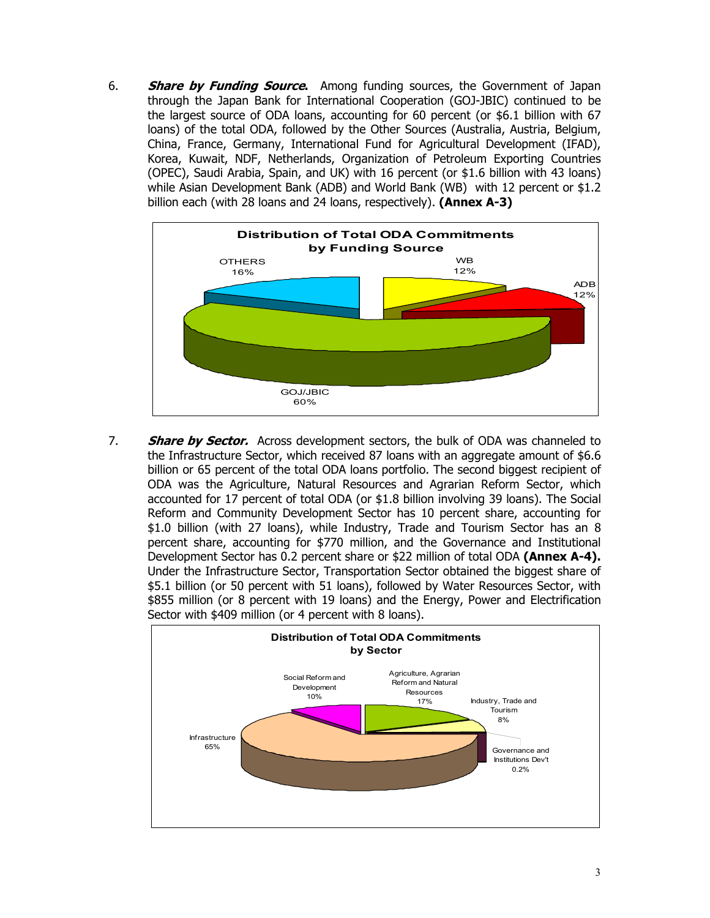6. **Share by Funding Source.** Among funding sources, the Government of Japan through the Japan Bank for International Cooperation (GOJ-JBIC) continued to be the largest source of ODA loans, accounting for 60 percent (or \$6.1 billion with 67 loans) of the total ODA, followed by the Other Sources (Australia, Austria, Belgium, China, France, Germany, International Fund for Agricultural Development (IFAD), Korea, Kuwait, NDF, Netherlands, Organization of Petroleum Exporting Countries (OPEC), Saudi Arabia, Spain, and UK) with 16 percent (or \$1.6 billion with 43 loans) while Asian Development Bank (ADB) and World Bank (WB) with 12 percent or \$1.2 billion each (with 28 loans and 24 loans, respectively). **(Annex A-3)**



7. **Share by Sector.** Across development sectors, the bulk of ODA was channeled to the Infrastructure Sector, which received 87 loans with an aggregate amount of \$6.6 billion or 65 percent of the total ODA loans portfolio. The second biggest recipient of ODA was the Agriculture, Natural Resources and Agrarian Reform Sector, which accounted for 17 percent of total ODA (or \$1.8 billion involving 39 loans). The Social Reform and Community Development Sector has 10 percent share, accounting for \$1.0 billion (with 27 loans), while Industry, Trade and Tourism Sector has an 8 percent share, accounting for \$770 million, and the Governance and Institutional Development Sector has 0.2 percent share or \$22 million of total ODA **(Annex A-4).**  Under the Infrastructure Sector, Transportation Sector obtained the biggest share of \$5.1 billion (or 50 percent with 51 loans), followed by Water Resources Sector, with \$855 million (or 8 percent with 19 loans) and the Energy, Power and Electrification Sector with \$409 million (or 4 percent with 8 loans).

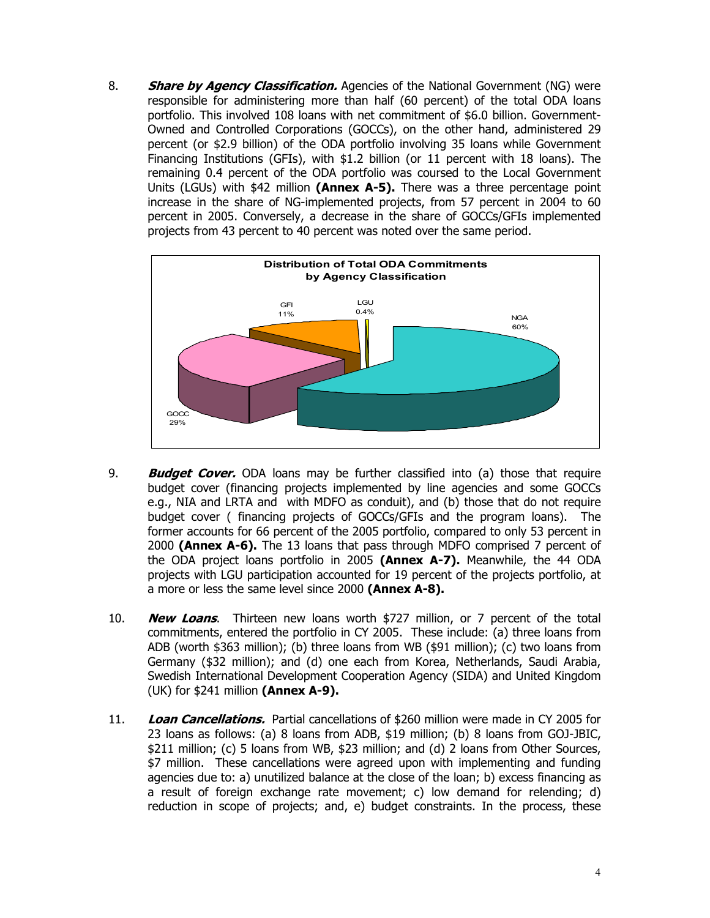8. **Share by Agency Classification.** Agencies of the National Government (NG) were responsible for administering more than half (60 percent) of the total ODA loans portfolio. This involved 108 loans with net commitment of \$6.0 billion. Government-Owned and Controlled Corporations (GOCCs), on the other hand, administered 29 percent (or \$2.9 billion) of the ODA portfolio involving 35 loans while Government Financing Institutions (GFIs), with \$1.2 billion (or 11 percent with 18 loans). The remaining 0.4 percent of the ODA portfolio was coursed to the Local Government Units (LGUs) with \$42 million **(Annex A-5).** There was a three percentage point increase in the share of NG-implemented projects, from 57 percent in 2004 to 60 percent in 2005. Conversely, a decrease in the share of GOCCs/GFIs implemented projects from 43 percent to 40 percent was noted over the same period.



- 9. **Budget Cover.** ODA loans may be further classified into (a) those that require budget cover (financing projects implemented by line agencies and some GOCCs e.g., NIA and LRTA and with MDFO as conduit), and (b) those that do not require budget cover ( financing projects of GOCCs/GFIs and the program loans). The former accounts for 66 percent of the 2005 portfolio, compared to only 53 percent in 2000 **(Annex A-6).** The 13 loans that pass through MDFO comprised 7 percent of the ODA project loans portfolio in 2005 **(Annex A-7).** Meanwhile, the 44 ODA projects with LGU participation accounted for 19 percent of the projects portfolio, at a more or less the same level since 2000 **(Annex A-8).**
- 10. **New Loans**. Thirteen new loans worth \$727 million, or 7 percent of the total commitments, entered the portfolio in CY 2005. These include: (a) three loans from ADB (worth \$363 million); (b) three loans from WB (\$91 million); (c) two loans from Germany (\$32 million); and (d) one each from Korea, Netherlands, Saudi Arabia, Swedish International Development Cooperation Agency (SIDA) and United Kingdom (UK) for \$241 million **(Annex A-9).**
- 11. **Loan Cancellations.** Partial cancellations of \$260 million were made in CY 2005 for 23 loans as follows: (a) 8 loans from ADB, \$19 million; (b) 8 loans from GOJ-JBIC, \$211 million; (c) 5 loans from WB, \$23 million; and (d) 2 loans from Other Sources, \$7 million. These cancellations were agreed upon with implementing and funding agencies due to: a) unutilized balance at the close of the loan; b) excess financing as a result of foreign exchange rate movement; c) low demand for relending; d) reduction in scope of projects; and, e) budget constraints. In the process, these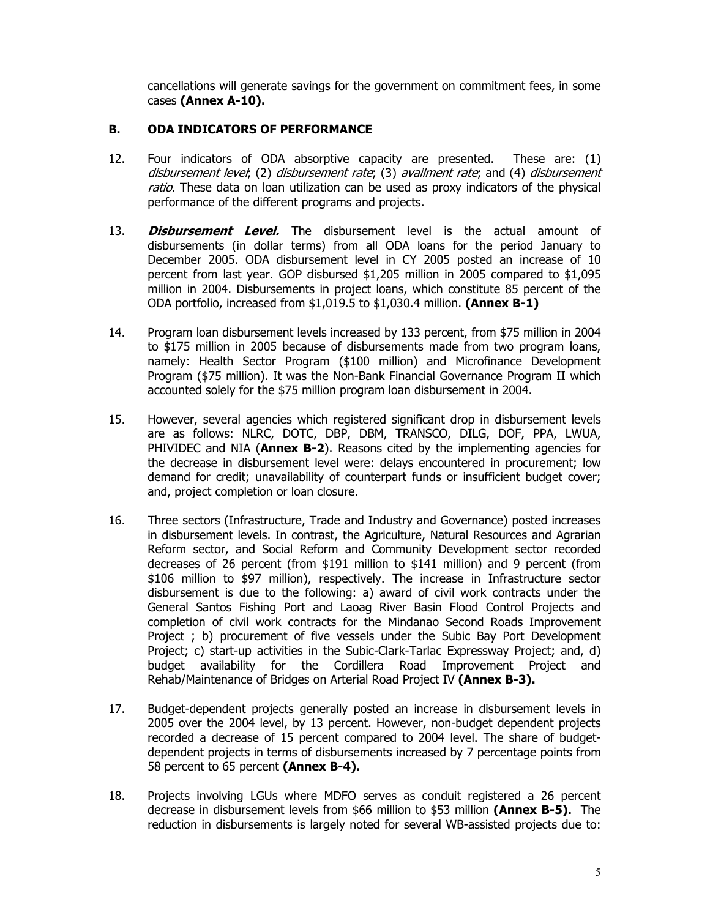cancellations will generate savings for the government on commitment fees, in some cases **(Annex A-10).** 

### **B. ODA INDICATORS OF PERFORMANCE**

- 12. Four indicators of ODA absorptive capacity are presented. These are: (1) disbursement level; (2) disbursement rate; (3) availment rate; and (4) disbursement ratio. These data on loan utilization can be used as proxy indicators of the physical performance of the different programs and projects.
- 13. **Disbursement Level.** The disbursement level is the actual amount of disbursements (in dollar terms) from all ODA loans for the period January to December 2005. ODA disbursement level in CY 2005 posted an increase of 10 percent from last year. GOP disbursed \$1,205 million in 2005 compared to \$1,095 million in 2004. Disbursements in project loans, which constitute 85 percent of the ODA portfolio, increased from \$1,019.5 to \$1,030.4 million. **(Annex B-1)**
- 14. Program loan disbursement levels increased by 133 percent, from \$75 million in 2004 to \$175 million in 2005 because of disbursements made from two program loans, namely: Health Sector Program (\$100 million) and Microfinance Development Program (\$75 million). It was the Non-Bank Financial Governance Program II which accounted solely for the \$75 million program loan disbursement in 2004.
- 15. However, several agencies which registered significant drop in disbursement levels are as follows: NLRC, DOTC, DBP, DBM, TRANSCO, DILG, DOF, PPA, LWUA, PHIVIDEC and NIA (**Annex B-2**). Reasons cited by the implementing agencies for the decrease in disbursement level were: delays encountered in procurement; low demand for credit; unavailability of counterpart funds or insufficient budget cover; and, project completion or loan closure.
- 16. Three sectors (Infrastructure, Trade and Industry and Governance) posted increases in disbursement levels. In contrast, the Agriculture, Natural Resources and Agrarian Reform sector, and Social Reform and Community Development sector recorded decreases of 26 percent (from \$191 million to \$141 million) and 9 percent (from \$106 million to \$97 million), respectively. The increase in Infrastructure sector disbursement is due to the following: a) award of civil work contracts under the General Santos Fishing Port and Laoag River Basin Flood Control Projects and completion of civil work contracts for the Mindanao Second Roads Improvement Project ; b) procurement of five vessels under the Subic Bay Port Development Project; c) start-up activities in the Subic-Clark-Tarlac Expressway Project; and, d) budget availability for the Cordillera Road Improvement Project and Rehab/Maintenance of Bridges on Arterial Road Project IV **(Annex B-3).**
- 17. Budget-dependent projects generally posted an increase in disbursement levels in 2005 over the 2004 level, by 13 percent. However, non-budget dependent projects recorded a decrease of 15 percent compared to 2004 level. The share of budgetdependent projects in terms of disbursements increased by 7 percentage points from 58 percent to 65 percent **(Annex B-4).**
- 18. Projects involving LGUs where MDFO serves as conduit registered a 26 percent decrease in disbursement levels from \$66 million to \$53 million **(Annex B-5).** The reduction in disbursements is largely noted for several WB-assisted projects due to: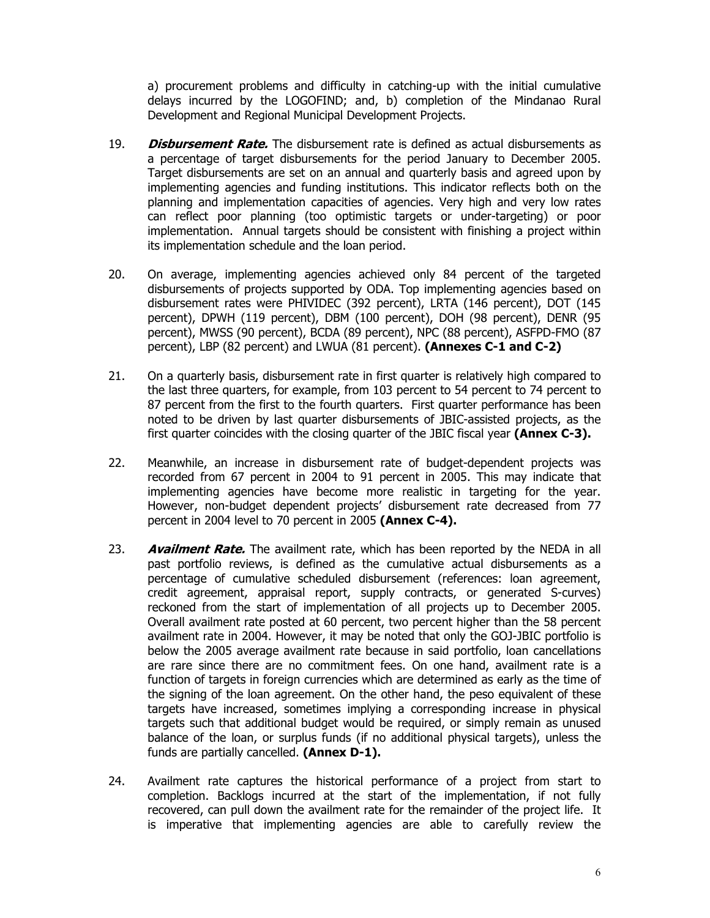a) procurement problems and difficulty in catching-up with the initial cumulative delays incurred by the LOGOFIND; and, b) completion of the Mindanao Rural Development and Regional Municipal Development Projects.

- 19. **Disbursement Rate.** The disbursement rate is defined as actual disbursements as a percentage of target disbursements for the period January to December 2005. Target disbursements are set on an annual and quarterly basis and agreed upon by implementing agencies and funding institutions. This indicator reflects both on the planning and implementation capacities of agencies. Very high and very low rates can reflect poor planning (too optimistic targets or under-targeting) or poor implementation. Annual targets should be consistent with finishing a project within its implementation schedule and the loan period.
- 20. On average, implementing agencies achieved only 84 percent of the targeted disbursements of projects supported by ODA. Top implementing agencies based on disbursement rates were PHIVIDEC (392 percent), LRTA (146 percent), DOT (145 percent), DPWH (119 percent), DBM (100 percent), DOH (98 percent), DENR (95 percent), MWSS (90 percent), BCDA (89 percent), NPC (88 percent), ASFPD-FMO (87 percent), LBP (82 percent) and LWUA (81 percent). **(Annexes C-1 and C-2)**
- 21. On a quarterly basis, disbursement rate in first quarter is relatively high compared to the last three quarters, for example, from 103 percent to 54 percent to 74 percent to 87 percent from the first to the fourth quarters. First quarter performance has been noted to be driven by last quarter disbursements of JBIC-assisted projects, as the first quarter coincides with the closing quarter of the JBIC fiscal year **(Annex C-3).**
- 22. Meanwhile, an increase in disbursement rate of budget-dependent projects was recorded from 67 percent in 2004 to 91 percent in 2005. This may indicate that implementing agencies have become more realistic in targeting for the year. However, non-budget dependent projects' disbursement rate decreased from 77 percent in 2004 level to 70 percent in 2005 **(Annex C-4).**
- 23. **Availment Rate.** The availment rate, which has been reported by the NEDA in all past portfolio reviews, is defined as the cumulative actual disbursements as a percentage of cumulative scheduled disbursement (references: loan agreement, credit agreement, appraisal report, supply contracts, or generated S-curves) reckoned from the start of implementation of all projects up to December 2005. Overall availment rate posted at 60 percent, two percent higher than the 58 percent availment rate in 2004. However, it may be noted that only the GOJ-JBIC portfolio is below the 2005 average availment rate because in said portfolio, loan cancellations are rare since there are no commitment fees. On one hand, availment rate is a function of targets in foreign currencies which are determined as early as the time of the signing of the loan agreement. On the other hand, the peso equivalent of these targets have increased, sometimes implying a corresponding increase in physical targets such that additional budget would be required, or simply remain as unused balance of the loan, or surplus funds (if no additional physical targets), unless the funds are partially cancelled. **(Annex D-1).**
- 24. Availment rate captures the historical performance of a project from start to completion. Backlogs incurred at the start of the implementation, if not fully recovered, can pull down the availment rate for the remainder of the project life. It is imperative that implementing agencies are able to carefully review the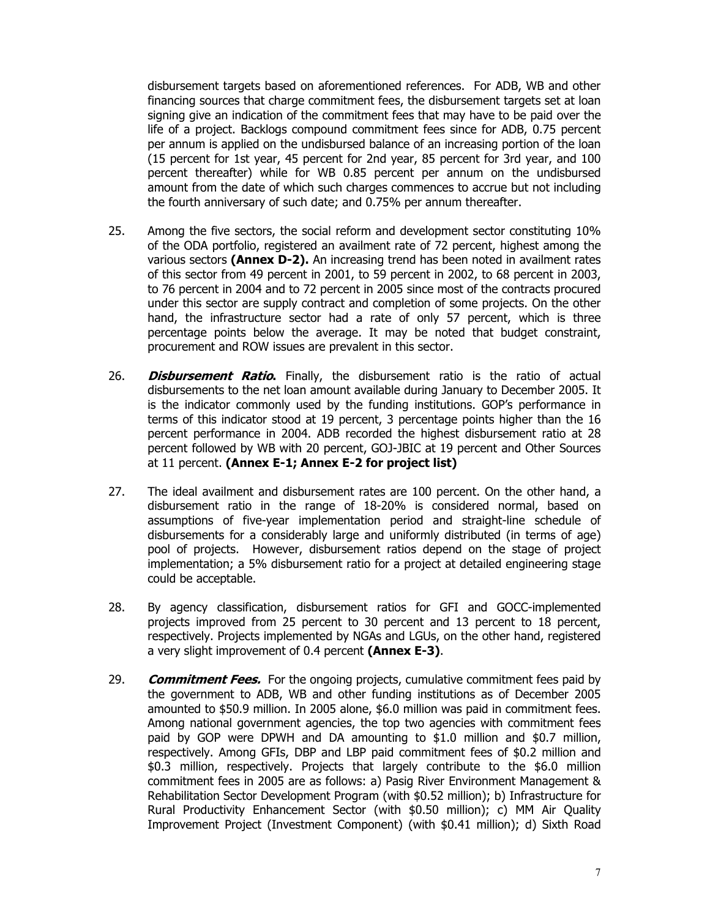disbursement targets based on aforementioned references. For ADB, WB and other financing sources that charge commitment fees, the disbursement targets set at loan signing give an indication of the commitment fees that may have to be paid over the life of a project. Backlogs compound commitment fees since for ADB, 0.75 percent per annum is applied on the undisbursed balance of an increasing portion of the loan (15 percent for 1st year, 45 percent for 2nd year, 85 percent for 3rd year, and 100 percent thereafter) while for WB 0.85 percent per annum on the undisbursed amount from the date of which such charges commences to accrue but not including the fourth anniversary of such date; and 0.75% per annum thereafter.

- 25. Among the five sectors, the social reform and development sector constituting 10% of the ODA portfolio, registered an availment rate of 72 percent, highest among the various sectors **(Annex D-2).** An increasing trend has been noted in availment rates of this sector from 49 percent in 2001, to 59 percent in 2002, to 68 percent in 2003, to 76 percent in 2004 and to 72 percent in 2005 since most of the contracts procured under this sector are supply contract and completion of some projects. On the other hand, the infrastructure sector had a rate of only 57 percent, which is three percentage points below the average. It may be noted that budget constraint, procurement and ROW issues are prevalent in this sector.
- 26. **Disbursement Ratio.** Finally, the disbursement ratio is the ratio of actual disbursements to the net loan amount available during January to December 2005. It is the indicator commonly used by the funding institutions. GOP's performance in terms of this indicator stood at 19 percent, 3 percentage points higher than the 16 percent performance in 2004. ADB recorded the highest disbursement ratio at 28 percent followed by WB with 20 percent, GOJ-JBIC at 19 percent and Other Sources at 11 percent. **(Annex E-1; Annex E-2 for project list)**
- 27. The ideal availment and disbursement rates are 100 percent. On the other hand, a disbursement ratio in the range of 18-20% is considered normal, based on assumptions of five-year implementation period and straight-line schedule of disbursements for a considerably large and uniformly distributed (in terms of age) pool of projects. However, disbursement ratios depend on the stage of project implementation; a 5% disbursement ratio for a project at detailed engineering stage could be acceptable.
- 28. By agency classification, disbursement ratios for GFI and GOCC-implemented projects improved from 25 percent to 30 percent and 13 percent to 18 percent, respectively. Projects implemented by NGAs and LGUs, on the other hand, registered a very slight improvement of 0.4 percent **(Annex E-3)**.
- 29. **Commitment Fees.** For the ongoing projects, cumulative commitment fees paid by the government to ADB, WB and other funding institutions as of December 2005 amounted to \$50.9 million. In 2005 alone, \$6.0 million was paid in commitment fees. Among national government agencies, the top two agencies with commitment fees paid by GOP were DPWH and DA amounting to \$1.0 million and \$0.7 million, respectively. Among GFIs, DBP and LBP paid commitment fees of \$0.2 million and \$0.3 million, respectively. Projects that largely contribute to the \$6.0 million commitment fees in 2005 are as follows: a) Pasig River Environment Management & Rehabilitation Sector Development Program (with \$0.52 million); b) Infrastructure for Rural Productivity Enhancement Sector (with \$0.50 million); c) MM Air Quality Improvement Project (Investment Component) (with \$0.41 million); d) Sixth Road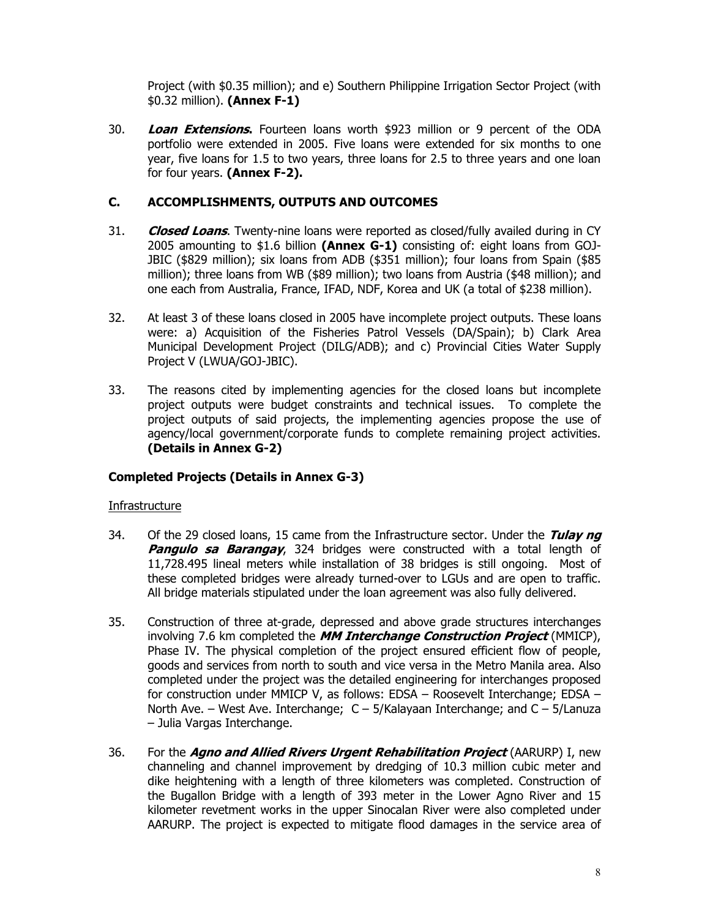Project (with \$0.35 million); and e) Southern Philippine Irrigation Sector Project (with \$0.32 million). **(Annex F-1)**

30. **Loan Extensions.** Fourteen loans worth \$923 million or 9 percent of the ODA portfolio were extended in 2005. Five loans were extended for six months to one year, five loans for 1.5 to two years, three loans for 2.5 to three years and one loan for four years. **(Annex F-2).**

# **C. ACCOMPLISHMENTS, OUTPUTS AND OUTCOMES**

- 31. **Closed Loans**. Twenty-nine loans were reported as closed/fully availed during in CY 2005 amounting to \$1.6 billion **(Annex G-1)** consisting of: eight loans from GOJ-JBIC (\$829 million); six loans from ADB (\$351 million); four loans from Spain (\$85 million); three loans from WB (\$89 million); two loans from Austria (\$48 million); and one each from Australia, France, IFAD, NDF, Korea and UK (a total of \$238 million).
- 32. At least 3 of these loans closed in 2005 have incomplete project outputs. These loans were: a) Acquisition of the Fisheries Patrol Vessels (DA/Spain); b) Clark Area Municipal Development Project (DILG/ADB); and c) Provincial Cities Water Supply Project V (LWUA/GOJ-JBIC).
- 33. The reasons cited by implementing agencies for the closed loans but incomplete project outputs were budget constraints and technical issues. To complete the project outputs of said projects, the implementing agencies propose the use of agency/local government/corporate funds to complete remaining project activities. **(Details in Annex G-2)**

## **Completed Projects (Details in Annex G-3)**

## **Infrastructure**

- 34. Of the 29 closed loans, 15 came from the Infrastructure sector. Under the **Tulay ng Pangulo sa Barangay**, 324 bridges were constructed with a total length of 11,728.495 lineal meters while installation of 38 bridges is still ongoing. Most of these completed bridges were already turned-over to LGUs and are open to traffic. All bridge materials stipulated under the loan agreement was also fully delivered.
- 35. Construction of three at-grade, depressed and above grade structures interchanges involving 7.6 km completed the **MM Interchange Construction Project** (MMICP), Phase IV. The physical completion of the project ensured efficient flow of people, goods and services from north to south and vice versa in the Metro Manila area. Also completed under the project was the detailed engineering for interchanges proposed for construction under MMICP V, as follows: EDSA – Roosevelt Interchange; EDSA – North Ave. – West Ave. Interchange; C – 5/Kalayaan Interchange; and C – 5/Lanuza – Julia Vargas Interchange.
- 36. For the **Agno and Allied Rivers Urgent Rehabilitation Project** (AARURP) I, new channeling and channel improvement by dredging of 10.3 million cubic meter and dike heightening with a length of three kilometers was completed. Construction of the Bugallon Bridge with a length of 393 meter in the Lower Agno River and 15 kilometer revetment works in the upper Sinocalan River were also completed under AARURP. The project is expected to mitigate flood damages in the service area of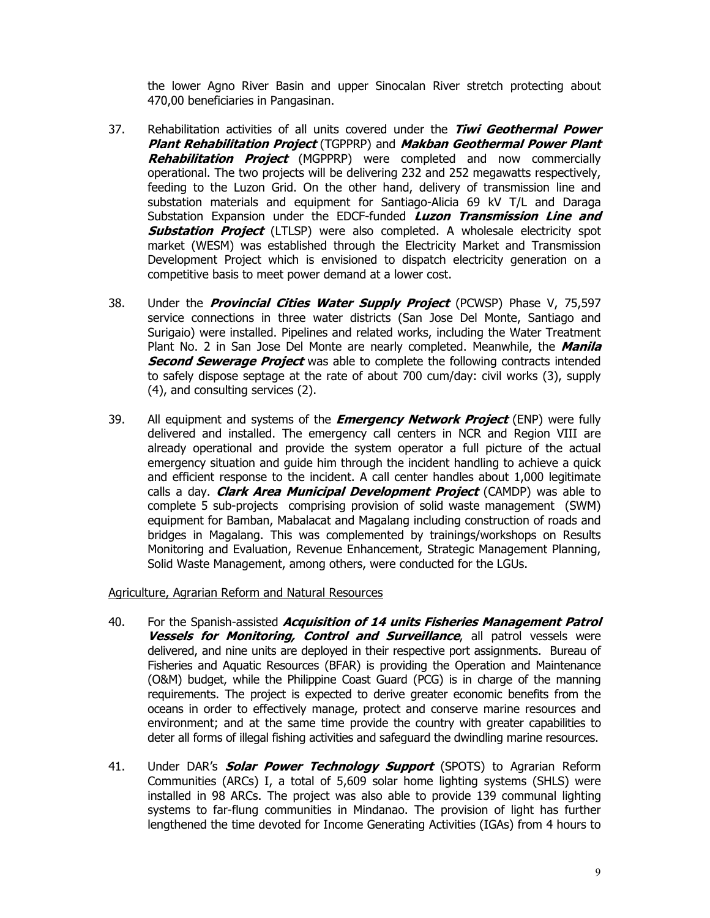the lower Agno River Basin and upper Sinocalan River stretch protecting about 470,00 beneficiaries in Pangasinan.

- 37. Rehabilitation activities of all units covered under the **Tiwi Geothermal Power Plant Rehabilitation Project** (TGPPRP) and **Makban Geothermal Power Plant Rehabilitation Project** (MGPPRP) were completed and now commercially operational. The two projects will be delivering 232 and 252 megawatts respectively, feeding to the Luzon Grid. On the other hand, delivery of transmission line and substation materials and equipment for Santiago-Alicia 69 kV T/L and Daraga Substation Expansion under the EDCF-funded **Luzon Transmission Line and Substation Project** (LTLSP) were also completed. A wholesale electricity spot market (WESM) was established through the Electricity Market and Transmission Development Project which is envisioned to dispatch electricity generation on a competitive basis to meet power demand at a lower cost.
- 38. Under the **Provincial Cities Water Supply Project** (PCWSP) Phase V, 75,597 service connections in three water districts (San Jose Del Monte, Santiago and Surigaio) were installed. Pipelines and related works, including the Water Treatment Plant No. 2 in San Jose Del Monte are nearly completed. Meanwhile, the **Manila Second Sewerage Project** was able to complete the following contracts intended to safely dispose septage at the rate of about 700 cum/day: civil works (3), supply (4), and consulting services (2).
- 39. All equipment and systems of the **Emergency Network Project** (ENP) were fully delivered and installed. The emergency call centers in NCR and Region VIII are already operational and provide the system operator a full picture of the actual emergency situation and guide him through the incident handling to achieve a quick and efficient response to the incident. A call center handles about 1,000 legitimate calls a day. **Clark Area Municipal Development Project** (CAMDP) was able to complete 5 sub-projects comprising provision of solid waste management (SWM) equipment for Bamban, Mabalacat and Magalang including construction of roads and bridges in Magalang. This was complemented by trainings/workshops on Results Monitoring and Evaluation, Revenue Enhancement, Strategic Management Planning, Solid Waste Management, among others, were conducted for the LGUs.

Agriculture, Agrarian Reform and Natural Resources

- 40. For the Spanish-assisted **Acquisition of 14 units Fisheries Management Patrol Vessels for Monitoring, Control and Surveillance**, all patrol vessels were delivered, and nine units are deployed in their respective port assignments. Bureau of Fisheries and Aquatic Resources (BFAR) is providing the Operation and Maintenance (O&M) budget, while the Philippine Coast Guard (PCG) is in charge of the manning requirements. The project is expected to derive greater economic benefits from the oceans in order to effectively manage, protect and conserve marine resources and environment; and at the same time provide the country with greater capabilities to deter all forms of illegal fishing activities and safeguard the dwindling marine resources.
- 41. Under DAR's **Solar Power Technology Support** (SPOTS) to Agrarian Reform Communities (ARCs) I, a total of 5,609 solar home lighting systems (SHLS) were installed in 98 ARCs. The project was also able to provide 139 communal lighting systems to far-flung communities in Mindanao. The provision of light has further lengthened the time devoted for Income Generating Activities (IGAs) from 4 hours to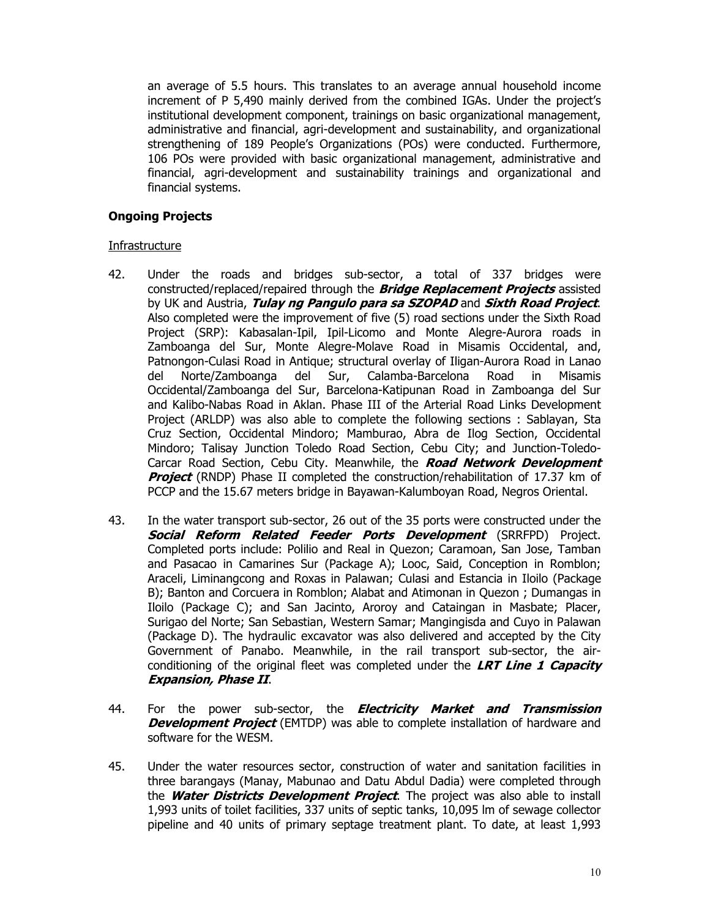an average of 5.5 hours. This translates to an average annual household income increment of P 5,490 mainly derived from the combined IGAs. Under the project's institutional development component, trainings on basic organizational management, administrative and financial, agri-development and sustainability, and organizational strengthening of 189 People's Organizations (POs) were conducted. Furthermore, 106 POs were provided with basic organizational management, administrative and financial, agri-development and sustainability trainings and organizational and financial systems.

### **Ongoing Projects**

### **Infrastructure**

- 42. Under the roads and bridges sub-sector, a total of 337 bridges were constructed/replaced/repaired through the **Bridge Replacement Projects** assisted by UK and Austria, **Tulay ng Pangulo para sa SZOPAD** and **Sixth Road Project**. Also completed were the improvement of five (5) road sections under the Sixth Road Project (SRP): Kabasalan-Ipil, Ipil-Licomo and Monte Alegre-Aurora roads in Zamboanga del Sur, Monte Alegre-Molave Road in Misamis Occidental, and, Patnongon-Culasi Road in Antique; structural overlay of Iligan-Aurora Road in Lanao del Norte/Zamboanga del Sur, Calamba-Barcelona Road in Misamis Occidental/Zamboanga del Sur, Barcelona-Katipunan Road in Zamboanga del Sur and Kalibo-Nabas Road in Aklan. Phase III of the Arterial Road Links Development Project (ARLDP) was also able to complete the following sections : Sablayan, Sta Cruz Section, Occidental Mindoro; Mamburao, Abra de Ilog Section, Occidental Mindoro; Talisay Junction Toledo Road Section, Cebu City; and Junction-Toledo-Carcar Road Section, Cebu City. Meanwhile, the **Road Network Development Project** (RNDP) Phase II completed the construction/rehabilitation of 17.37 km of PCCP and the 15.67 meters bridge in Bayawan-Kalumboyan Road, Negros Oriental.
- 43. In the water transport sub-sector, 26 out of the 35 ports were constructed under the **Social Reform Related Feeder Ports Development** (SRRFPD) Project. Completed ports include: Polilio and Real in Quezon; Caramoan, San Jose, Tamban and Pasacao in Camarines Sur (Package A); Looc, Said, Conception in Romblon; Araceli, Liminangcong and Roxas in Palawan; Culasi and Estancia in Iloilo (Package B); Banton and Corcuera in Romblon; Alabat and Atimonan in Quezon ; Dumangas in Iloilo (Package C); and San Jacinto, Aroroy and Cataingan in Masbate; Placer, Surigao del Norte; San Sebastian, Western Samar; Mangingisda and Cuyo in Palawan (Package D). The hydraulic excavator was also delivered and accepted by the City Government of Panabo. Meanwhile, in the rail transport sub-sector, the airconditioning of the original fleet was completed under the **LRT Line 1 Capacity Expansion, Phase II**.
- 44. For the power sub-sector, the **Electricity Market and Transmission Development Project** (EMTDP) was able to complete installation of hardware and software for the WESM.
- 45. Under the water resources sector, construction of water and sanitation facilities in three barangays (Manay, Mabunao and Datu Abdul Dadia) were completed through the **Water Districts Development Project**. The project was also able to install 1,993 units of toilet facilities, 337 units of septic tanks, 10,095 lm of sewage collector pipeline and 40 units of primary septage treatment plant. To date, at least 1,993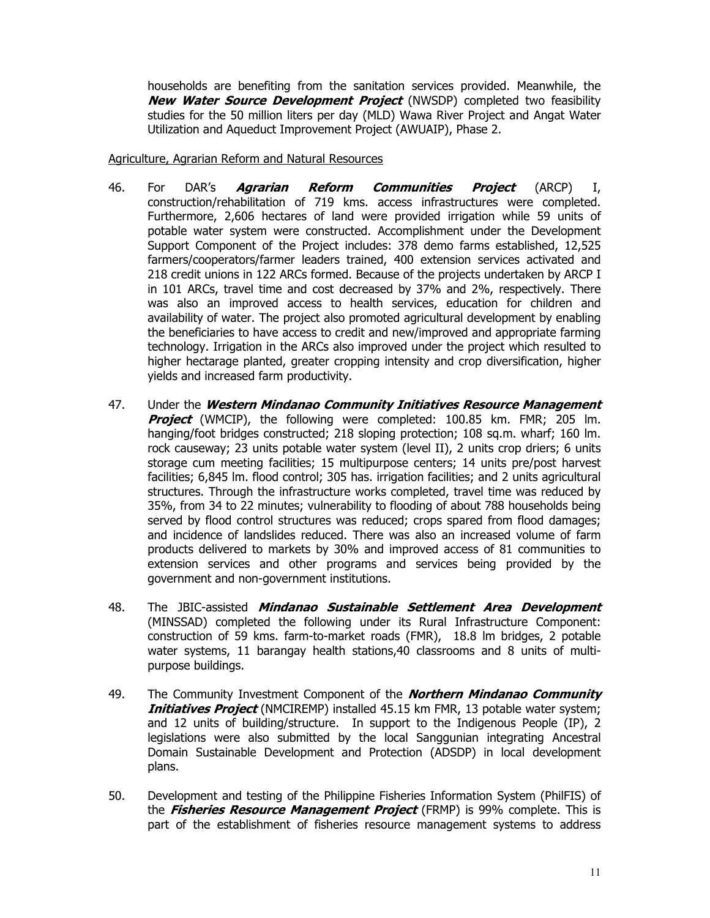households are benefiting from the sanitation services provided. Meanwhile, the **New Water Source Development Project** (NWSDP) completed two feasibility studies for the 50 million liters per day (MLD) Wawa River Project and Angat Water Utilization and Aqueduct Improvement Project (AWUAIP), Phase 2.

Agriculture, Agrarian Reform and Natural Resources

- 46. For DAR's **Agrarian Reform Communities Project** (ARCP) I, construction/rehabilitation of 719 kms. access infrastructures were completed. Furthermore, 2,606 hectares of land were provided irrigation while 59 units of potable water system were constructed. Accomplishment under the Development Support Component of the Project includes: 378 demo farms established, 12,525 farmers/cooperators/farmer leaders trained, 400 extension services activated and 218 credit unions in 122 ARCs formed. Because of the projects undertaken by ARCP I in 101 ARCs, travel time and cost decreased by 37% and 2%, respectively. There was also an improved access to health services, education for children and availability of water. The project also promoted agricultural development by enabling the beneficiaries to have access to credit and new/improved and appropriate farming technology. Irrigation in the ARCs also improved under the project which resulted to higher hectarage planted, greater cropping intensity and crop diversification, higher yields and increased farm productivity.
- 47. Under the **Western Mindanao Community Initiatives Resource Management Project** (WMCIP), the following were completed: 100.85 km. FMR; 205 lm. hanging/foot bridges constructed; 218 sloping protection; 108 sq.m. wharf; 160 lm. rock causeway; 23 units potable water system (level II), 2 units crop driers; 6 units storage cum meeting facilities; 15 multipurpose centers; 14 units pre/post harvest facilities; 6,845 lm. flood control; 305 has. irrigation facilities; and 2 units agricultural structures. Through the infrastructure works completed, travel time was reduced by 35%, from 34 to 22 minutes; vulnerability to flooding of about 788 households being served by flood control structures was reduced; crops spared from flood damages; and incidence of landslides reduced. There was also an increased volume of farm products delivered to markets by 30% and improved access of 81 communities to extension services and other programs and services being provided by the government and non-government institutions.
- 48. The JBIC-assisted **Mindanao Sustainable Settlement Area Development** (MINSSAD) completed the following under its Rural Infrastructure Component: construction of 59 kms. farm-to-market roads (FMR), 18.8 lm bridges, 2 potable water systems, 11 barangay health stations,40 classrooms and 8 units of multipurpose buildings.
- 49. The Community Investment Component of the **Northern Mindanao Community Initiatives Project** (NMCIREMP) installed 45.15 km FMR, 13 potable water system; and 12 units of building/structure. In support to the Indigenous People (IP), 2 legislations were also submitted by the local Sanggunian integrating Ancestral Domain Sustainable Development and Protection (ADSDP) in local development plans.
- 50. Development and testing of the Philippine Fisheries Information System (PhilFIS) of the **Fisheries Resource Management Project** (FRMP) is 99% complete. This is part of the establishment of fisheries resource management systems to address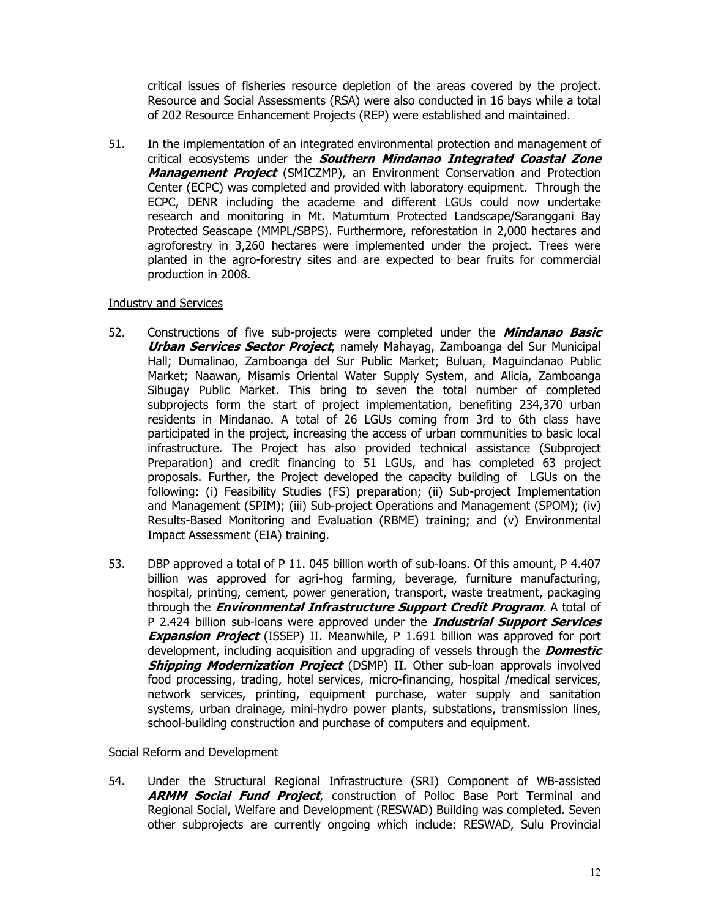critical issues of fisheries resource depletion of the areas covered by the project. Resource and Social Assessments (RSA) were also conducted in 16 bays while a total of 202 Resource Enhancement Projects (REP) were established and maintained.

51. In the implementation of an integrated environmental protection and management of critical ecosystems under the **Southern Mindanao Integrated Coastal Zone Management Project** (SMICZMP), an Environment Conservation and Protection Center (ECPC) was completed and provided with laboratory equipment. Through the ECPC, DENR including the academe and different LGUs could now undertake research and monitoring in Mt. Matumtum Protected Landscape/Saranggani Bay Protected Seascape (MMPL/SBPS). Furthermore, reforestation in 2,000 hectares and agroforestry in 3,260 hectares were implemented under the project. Trees were planted in the agro-forestry sites and are expected to bear fruits for commercial production in 2008.

### Industry and Services

- 52. Constructions of five sub-projects were completed under the **Mindanao Basic Urban Services Sector Project**, namely Mahayag, Zamboanga del Sur Municipal Hall; Dumalinao, Zamboanga del Sur Public Market; Buluan, Maguindanao Public Market; Naawan, Misamis Oriental Water Supply System, and Alicia, Zamboanga Sibugay Public Market. This bring to seven the total number of completed subprojects form the start of project implementation, benefiting 234,370 urban residents in Mindanao. A total of 26 LGUs coming from 3rd to 6th class have participated in the project, increasing the access of urban communities to basic local infrastructure. The Project has also provided technical assistance (Subproject Preparation) and credit financing to 51 LGUs, and has completed 63 project proposals. Further, the Project developed the capacity building of LGUs on the following: (i) Feasibility Studies (FS) preparation; (ii) Sub-project Implementation and Management (SPIM); (iii) Sub-project Operations and Management (SPOM); (iv) Results-Based Monitoring and Evaluation (RBME) training; and (v) Environmental Impact Assessment (EIA) training.
- 53. DBP approved a total of P 11. 045 billion worth of sub-loans. Of this amount, P 4.407 billion was approved for agri-hog farming, beverage, furniture manufacturing, hospital, printing, cement, power generation, transport, waste treatment, packaging through the **Environmental Infrastructure Support Credit Program**. A total of P 2.424 billion sub-loans were approved under the **Industrial Support Services Expansion Project** (ISSEP) II. Meanwhile, P 1.691 billion was approved for port development, including acquisition and upgrading of vessels through the **Domestic Shipping Modernization Project** (DSMP) II. Other sub-loan approvals involved food processing, trading, hotel services, micro-financing, hospital /medical services, network services, printing, equipment purchase, water supply and sanitation systems, urban drainage, mini-hydro power plants, substations, transmission lines, school-building construction and purchase of computers and equipment.

## Social Reform and Development

54. Under the Structural Regional Infrastructure (SRI) Component of WB-assisted **ARMM Social Fund Project**, construction of Polloc Base Port Terminal and Regional Social, Welfare and Development (RESWAD) Building was completed. Seven other subprojects are currently ongoing which include: RESWAD, Sulu Provincial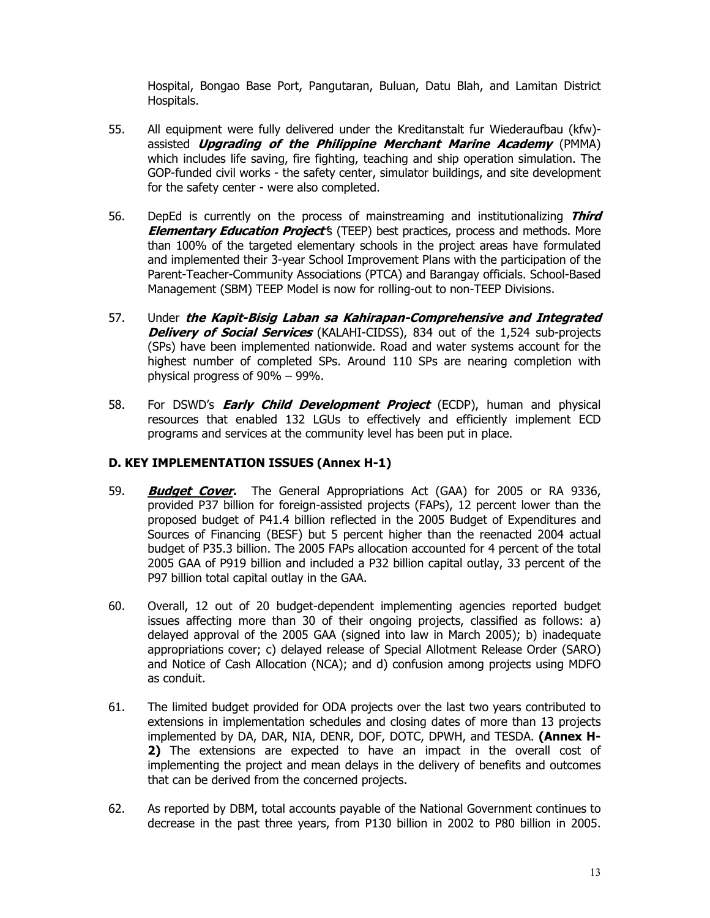Hospital, Bongao Base Port, Pangutaran, Buluan, Datu Blah, and Lamitan District Hospitals.

- 55. All equipment were fully delivered under the Kreditanstalt fur Wiederaufbau (kfw) assisted **Upgrading of the Philippine Merchant Marine Academy** (PMMA) which includes life saving, fire fighting, teaching and ship operation simulation. The GOP-funded civil works - the safety center, simulator buildings, and site development for the safety center - were also completed.
- 56. DepEd is currently on the process of mainstreaming and institutionalizing **Third Elementary Education Project'**s (TEEP) best practices, process and methods. More than 100% of the targeted elementary schools in the project areas have formulated and implemented their 3-year School Improvement Plans with the participation of the Parent-Teacher-Community Associations (PTCA) and Barangay officials. School-Based Management (SBM) TEEP Model is now for rolling-out to non-TEEP Divisions.
- 57. Under **the Kapit-Bisig Laban sa Kahirapan-Comprehensive and Integrated Delivery of Social Services** (KALAHI-CIDSS), 834 out of the 1,524 sub-projects (SPs) have been implemented nationwide. Road and water systems account for the highest number of completed SPs. Around 110 SPs are nearing completion with physical progress of 90% – 99%.
- 58. For DSWD's **Early Child Development Project** (ECDP), human and physical resources that enabled 132 LGUs to effectively and efficiently implement ECD programs and services at the community level has been put in place.

# **D. KEY IMPLEMENTATION ISSUES (Annex H-1)**

- 59. **Budget Cover.** The General Appropriations Act (GAA) for 2005 or RA 9336, provided P37 billion for foreign-assisted projects (FAPs), 12 percent lower than the proposed budget of P41.4 billion reflected in the 2005 Budget of Expenditures and Sources of Financing (BESF) but 5 percent higher than the reenacted 2004 actual budget of P35.3 billion. The 2005 FAPs allocation accounted for 4 percent of the total 2005 GAA of P919 billion and included a P32 billion capital outlay, 33 percent of the P97 billion total capital outlay in the GAA.
- 60. Overall, 12 out of 20 budget-dependent implementing agencies reported budget issues affecting more than 30 of their ongoing projects, classified as follows: a) delayed approval of the 2005 GAA (signed into law in March 2005); b) inadequate appropriations cover; c) delayed release of Special Allotment Release Order (SARO) and Notice of Cash Allocation (NCA); and d) confusion among projects using MDFO as conduit.
- 61. The limited budget provided for ODA projects over the last two years contributed to extensions in implementation schedules and closing dates of more than 13 projects implemented by DA, DAR, NIA, DENR, DOF, DOTC, DPWH, and TESDA. **(Annex H-2)** The extensions are expected to have an impact in the overall cost of implementing the project and mean delays in the delivery of benefits and outcomes that can be derived from the concerned projects.
- 62. As reported by DBM, total accounts payable of the National Government continues to decrease in the past three years, from P130 billion in 2002 to P80 billion in 2005.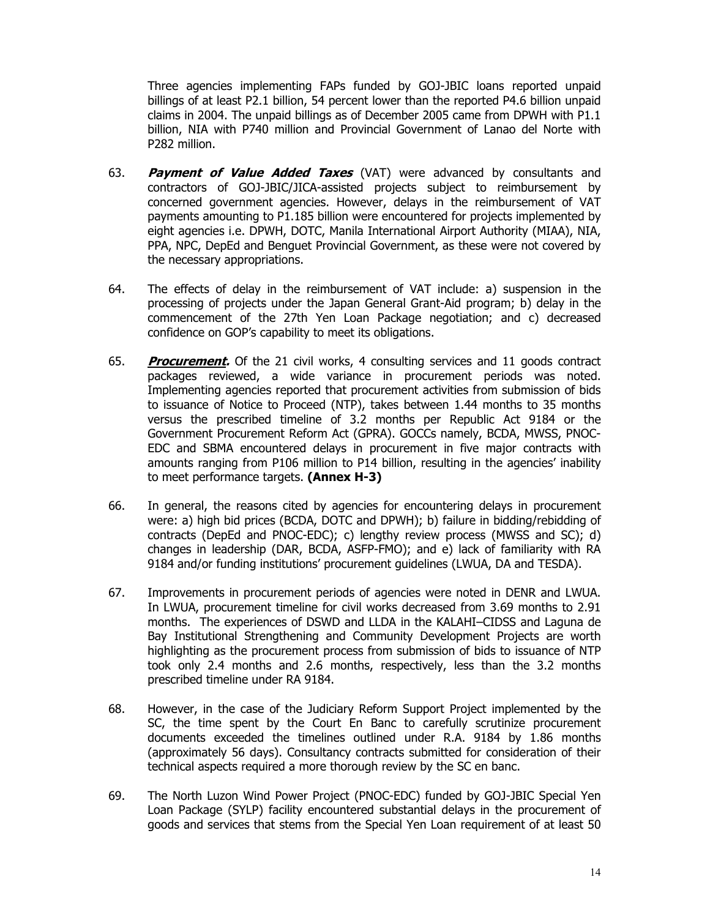Three agencies implementing FAPs funded by GOJ-JBIC loans reported unpaid billings of at least P2.1 billion, 54 percent lower than the reported P4.6 billion unpaid claims in 2004. The unpaid billings as of December 2005 came from DPWH with P1.1 billion, NIA with P740 million and Provincial Government of Lanao del Norte with P282 million.

- 63. **Payment of Value Added Taxes** (VAT) were advanced by consultants and contractors of GOJ-JBIC/JICA-assisted projects subject to reimbursement by concerned government agencies. However, delays in the reimbursement of VAT payments amounting to P1.185 billion were encountered for projects implemented by eight agencies i.e. DPWH, DOTC, Manila International Airport Authority (MIAA), NIA, PPA, NPC, DepEd and Benguet Provincial Government, as these were not covered by the necessary appropriations.
- 64. The effects of delay in the reimbursement of VAT include: a) suspension in the processing of projects under the Japan General Grant-Aid program; b) delay in the commencement of the 27th Yen Loan Package negotiation; and c) decreased confidence on GOP's capability to meet its obligations.
- 65. **Procurement.** Of the 21 civil works, 4 consulting services and 11 goods contract packages reviewed, a wide variance in procurement periods was noted. Implementing agencies reported that procurement activities from submission of bids to issuance of Notice to Proceed (NTP), takes between 1.44 months to 35 months versus the prescribed timeline of 3.2 months per Republic Act 9184 or the Government Procurement Reform Act (GPRA). GOCCs namely, BCDA, MWSS, PNOC-EDC and SBMA encountered delays in procurement in five major contracts with amounts ranging from P106 million to P14 billion, resulting in the agencies' inability to meet performance targets. **(Annex H-3)**
- 66. In general, the reasons cited by agencies for encountering delays in procurement were: a) high bid prices (BCDA, DOTC and DPWH); b) failure in bidding/rebidding of contracts (DepEd and PNOC-EDC); c) lengthy review process (MWSS and SC); d) changes in leadership (DAR, BCDA, ASFP-FMO); and e) lack of familiarity with RA 9184 and/or funding institutions' procurement guidelines (LWUA, DA and TESDA).
- 67. Improvements in procurement periods of agencies were noted in DENR and LWUA. In LWUA, procurement timeline for civil works decreased from 3.69 months to 2.91 months. The experiences of DSWD and LLDA in the KALAHI–CIDSS and Laguna de Bay Institutional Strengthening and Community Development Projects are worth highlighting as the procurement process from submission of bids to issuance of NTP took only 2.4 months and 2.6 months, respectively, less than the 3.2 months prescribed timeline under RA 9184.
- 68. However, in the case of the Judiciary Reform Support Project implemented by the SC, the time spent by the Court En Banc to carefully scrutinize procurement documents exceeded the timelines outlined under R.A. 9184 by 1.86 months (approximately 56 days). Consultancy contracts submitted for consideration of their technical aspects required a more thorough review by the SC en banc.
- 69. The North Luzon Wind Power Project (PNOC-EDC) funded by GOJ-JBIC Special Yen Loan Package (SYLP) facility encountered substantial delays in the procurement of goods and services that stems from the Special Yen Loan requirement of at least 50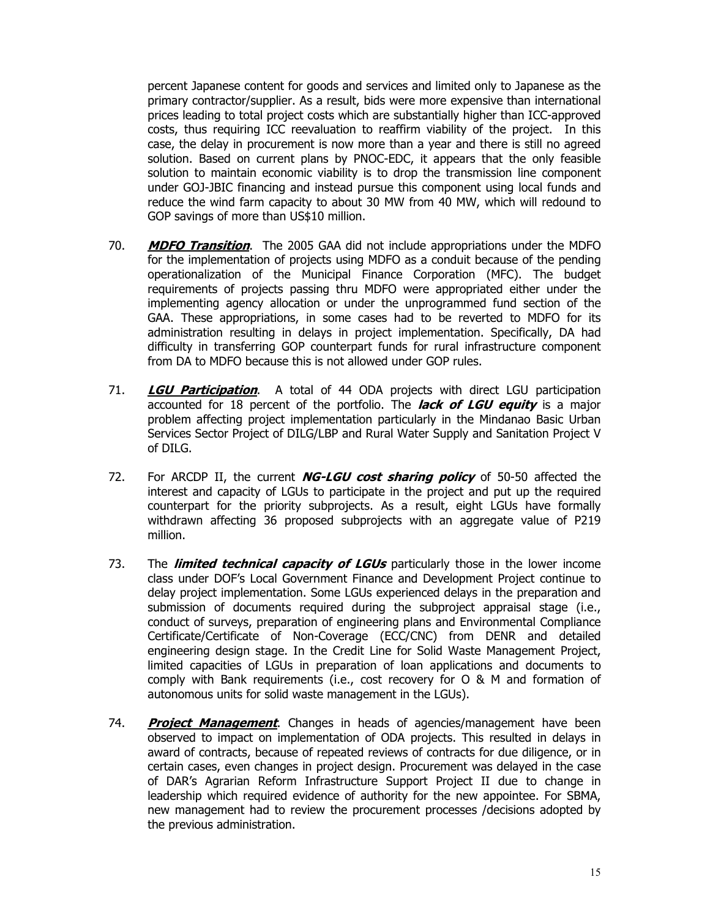percent Japanese content for goods and services and limited only to Japanese as the primary contractor/supplier. As a result, bids were more expensive than international prices leading to total project costs which are substantially higher than ICC-approved costs, thus requiring ICC reevaluation to reaffirm viability of the project. In this case, the delay in procurement is now more than a year and there is still no agreed solution. Based on current plans by PNOC-EDC, it appears that the only feasible solution to maintain economic viability is to drop the transmission line component under GOJ-JBIC financing and instead pursue this component using local funds and reduce the wind farm capacity to about 30 MW from 40 MW, which will redound to GOP savings of more than US\$10 million.

- 70. **MDFO Transition**. The 2005 GAA did not include appropriations under the MDFO for the implementation of projects using MDFO as a conduit because of the pending operationalization of the Municipal Finance Corporation (MFC). The budget requirements of projects passing thru MDFO were appropriated either under the implementing agency allocation or under the unprogrammed fund section of the GAA. These appropriations, in some cases had to be reverted to MDFO for its administration resulting in delays in project implementation. Specifically, DA had difficulty in transferring GOP counterpart funds for rural infrastructure component from DA to MDFO because this is not allowed under GOP rules.
- 71. **LGU Participation**. A total of 44 ODA projects with direct LGU participation accounted for 18 percent of the portfolio. The **lack of LGU equity** is a major problem affecting project implementation particularly in the Mindanao Basic Urban Services Sector Project of DILG/LBP and Rural Water Supply and Sanitation Project V of DILG.
- 72. For ARCDP II, the current **NG-LGU cost sharing policy** of 50-50 affected the interest and capacity of LGUs to participate in the project and put up the required counterpart for the priority subprojects. As a result, eight LGUs have formally withdrawn affecting 36 proposed subprojects with an aggregate value of P219 million.
- 73. The **limited technical capacity of LGUs** particularly those in the lower income class under DOF's Local Government Finance and Development Project continue to delay project implementation. Some LGUs experienced delays in the preparation and submission of documents required during the subproject appraisal stage (i.e., conduct of surveys, preparation of engineering plans and Environmental Compliance Certificate/Certificate of Non-Coverage (ECC/CNC) from DENR and detailed engineering design stage. In the Credit Line for Solid Waste Management Project, limited capacities of LGUs in preparation of loan applications and documents to comply with Bank requirements (i.e., cost recovery for O & M and formation of autonomous units for solid waste management in the LGUs).
- 74. **Project Management**. Changes in heads of agencies/management have been observed to impact on implementation of ODA projects. This resulted in delays in award of contracts, because of repeated reviews of contracts for due diligence, or in certain cases, even changes in project design. Procurement was delayed in the case of DAR's Agrarian Reform Infrastructure Support Project II due to change in leadership which required evidence of authority for the new appointee. For SBMA, new management had to review the procurement processes /decisions adopted by the previous administration.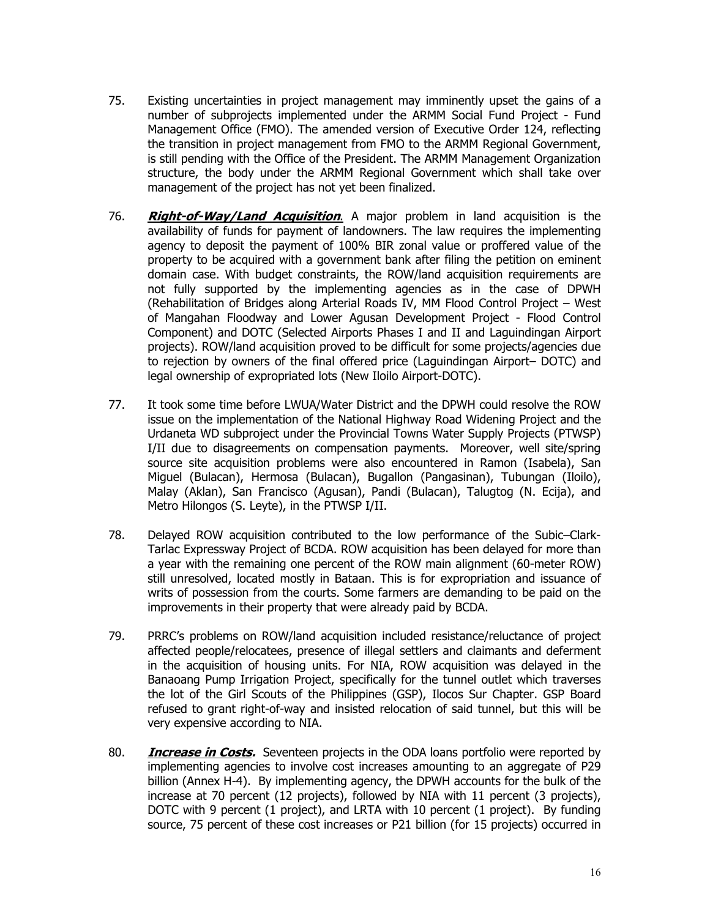- 75. Existing uncertainties in project management may imminently upset the gains of a number of subprojects implemented under the ARMM Social Fund Project - Fund Management Office (FMO). The amended version of Executive Order 124, reflecting the transition in project management from FMO to the ARMM Regional Government, is still pending with the Office of the President. The ARMM Management Organization structure, the body under the ARMM Regional Government which shall take over management of the project has not yet been finalized.
- 76. **Right-of-Way/Land Acquisition**. A major problem in land acquisition is the availability of funds for payment of landowners. The law requires the implementing agency to deposit the payment of 100% BIR zonal value or proffered value of the property to be acquired with a government bank after filing the petition on eminent domain case. With budget constraints, the ROW/land acquisition requirements are not fully supported by the implementing agencies as in the case of DPWH (Rehabilitation of Bridges along Arterial Roads IV, MM Flood Control Project – West of Mangahan Floodway and Lower Agusan Development Project - Flood Control Component) and DOTC (Selected Airports Phases I and II and Laguindingan Airport projects). ROW/land acquisition proved to be difficult for some projects/agencies due to rejection by owners of the final offered price (Laguindingan Airport– DOTC) and legal ownership of expropriated lots (New Iloilo Airport-DOTC).
- 77. It took some time before LWUA/Water District and the DPWH could resolve the ROW issue on the implementation of the National Highway Road Widening Project and the Urdaneta WD subproject under the Provincial Towns Water Supply Projects (PTWSP) I/II due to disagreements on compensation payments. Moreover, well site/spring source site acquisition problems were also encountered in Ramon (Isabela), San Miguel (Bulacan), Hermosa (Bulacan), Bugallon (Pangasinan), Tubungan (Iloilo), Malay (Aklan), San Francisco (Agusan), Pandi (Bulacan), Talugtog (N. Ecija), and Metro Hilongos (S. Leyte), in the PTWSP I/II.
- 78. Delayed ROW acquisition contributed to the low performance of the Subic–Clark-Tarlac Expressway Project of BCDA. ROW acquisition has been delayed for more than a year with the remaining one percent of the ROW main alignment (60-meter ROW) still unresolved, located mostly in Bataan. This is for expropriation and issuance of writs of possession from the courts. Some farmers are demanding to be paid on the improvements in their property that were already paid by BCDA.
- 79. PRRC's problems on ROW/land acquisition included resistance/reluctance of project affected people/relocatees, presence of illegal settlers and claimants and deferment in the acquisition of housing units. For NIA, ROW acquisition was delayed in the Banaoang Pump Irrigation Project, specifically for the tunnel outlet which traverses the lot of the Girl Scouts of the Philippines (GSP), Ilocos Sur Chapter. GSP Board refused to grant right-of-way and insisted relocation of said tunnel, but this will be very expensive according to NIA.
- 80. **Increase in Costs.** Seventeen projects in the ODA loans portfolio were reported by implementing agencies to involve cost increases amounting to an aggregate of P29 billion (Annex H-4). By implementing agency, the DPWH accounts for the bulk of the increase at 70 percent (12 projects), followed by NIA with 11 percent (3 projects), DOTC with 9 percent (1 project), and LRTA with 10 percent (1 project). By funding source, 75 percent of these cost increases or P21 billion (for 15 projects) occurred in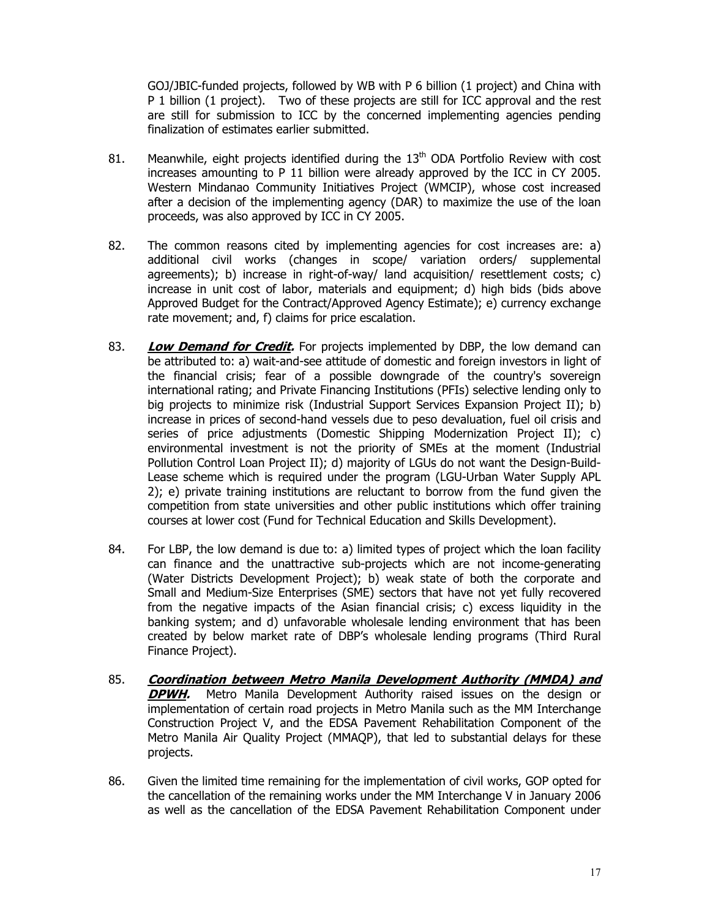GOJ/JBIC-funded projects, followed by WB with P 6 billion (1 project) and China with P 1 billion (1 project). Two of these projects are still for ICC approval and the rest are still for submission to ICC by the concerned implementing agencies pending finalization of estimates earlier submitted.

- 81. Meanwhile, eight projects identified during the  $13<sup>th</sup>$  ODA Portfolio Review with cost increases amounting to P 11 billion were already approved by the ICC in CY 2005. Western Mindanao Community Initiatives Project (WMCIP), whose cost increased after a decision of the implementing agency (DAR) to maximize the use of the loan proceeds, was also approved by ICC in CY 2005.
- 82. The common reasons cited by implementing agencies for cost increases are: a) additional civil works (changes in scope/ variation orders/ supplemental agreements); b) increase in right-of-way/ land acquisition/ resettlement costs; c) increase in unit cost of labor, materials and equipment; d) high bids (bids above Approved Budget for the Contract/Approved Agency Estimate); e) currency exchange rate movement; and, f) claims for price escalation.
- 83. **Low Demand for Credit.** For projects implemented by DBP, the low demand can be attributed to: a) wait-and-see attitude of domestic and foreign investors in light of the financial crisis; fear of a possible downgrade of the country's sovereign international rating; and Private Financing Institutions (PFIs) selective lending only to big projects to minimize risk (Industrial Support Services Expansion Project II); b) increase in prices of second-hand vessels due to peso devaluation, fuel oil crisis and series of price adjustments (Domestic Shipping Modernization Project II); c) environmental investment is not the priority of SMEs at the moment (Industrial Pollution Control Loan Project II); d) majority of LGUs do not want the Design-Build-Lease scheme which is required under the program (LGU-Urban Water Supply APL 2); e) private training institutions are reluctant to borrow from the fund given the competition from state universities and other public institutions which offer training courses at lower cost (Fund for Technical Education and Skills Development).
- 84. For LBP, the low demand is due to: a) limited types of project which the loan facility can finance and the unattractive sub-projects which are not income-generating (Water Districts Development Project); b) weak state of both the corporate and Small and Medium-Size Enterprises (SME) sectors that have not yet fully recovered from the negative impacts of the Asian financial crisis; c) excess liquidity in the banking system; and d) unfavorable wholesale lending environment that has been created by below market rate of DBP's wholesale lending programs (Third Rural Finance Project).
- 85. **Coordination between Metro Manila Development Authority (MMDA) and DPWH.** Metro Manila Development Authority raised issues on the design or implementation of certain road projects in Metro Manila such as the MM Interchange Construction Project V, and the EDSA Pavement Rehabilitation Component of the Metro Manila Air Quality Project (MMAQP), that led to substantial delays for these projects.
- 86. Given the limited time remaining for the implementation of civil works, GOP opted for the cancellation of the remaining works under the MM Interchange V in January 2006 as well as the cancellation of the EDSA Pavement Rehabilitation Component under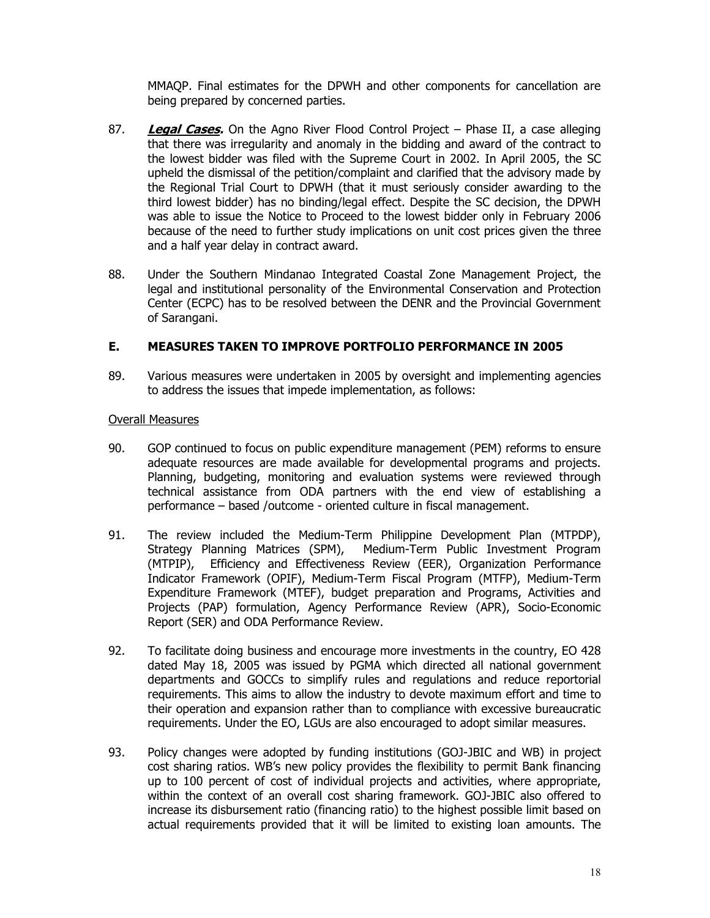MMAQP. Final estimates for the DPWH and other components for cancellation are being prepared by concerned parties.

- 87. **Legal Cases.** On the Agno River Flood Control Project Phase II, a case alleging that there was irregularity and anomaly in the bidding and award of the contract to the lowest bidder was filed with the Supreme Court in 2002. In April 2005, the SC upheld the dismissal of the petition/complaint and clarified that the advisory made by the Regional Trial Court to DPWH (that it must seriously consider awarding to the third lowest bidder) has no binding/legal effect. Despite the SC decision, the DPWH was able to issue the Notice to Proceed to the lowest bidder only in February 2006 because of the need to further study implications on unit cost prices given the three and a half year delay in contract award.
- 88. Under the Southern Mindanao Integrated Coastal Zone Management Project, the legal and institutional personality of the Environmental Conservation and Protection Center (ECPC) has to be resolved between the DENR and the Provincial Government of Sarangani.

## **E. MEASURES TAKEN TO IMPROVE PORTFOLIO PERFORMANCE IN 2005**

89. Various measures were undertaken in 2005 by oversight and implementing agencies to address the issues that impede implementation, as follows:

### Overall Measures

- 90. GOP continued to focus on public expenditure management (PEM) reforms to ensure adequate resources are made available for developmental programs and projects. Planning, budgeting, monitoring and evaluation systems were reviewed through technical assistance from ODA partners with the end view of establishing a performance – based /outcome - oriented culture in fiscal management.
- 91. The review included the Medium-Term Philippine Development Plan (MTPDP), Strategy Planning Matrices (SPM), Medium-Term Public Investment Program (MTPIP), Efficiency and Effectiveness Review (EER), Organization Performance Indicator Framework (OPIF), Medium-Term Fiscal Program (MTFP), Medium-Term Expenditure Framework (MTEF), budget preparation and Programs, Activities and Projects (PAP) formulation, Agency Performance Review (APR), Socio-Economic Report (SER) and ODA Performance Review.
- 92. To facilitate doing business and encourage more investments in the country, EO 428 dated May 18, 2005 was issued by PGMA which directed all national government departments and GOCCs to simplify rules and regulations and reduce reportorial requirements. This aims to allow the industry to devote maximum effort and time to their operation and expansion rather than to compliance with excessive bureaucratic requirements. Under the EO, LGUs are also encouraged to adopt similar measures.
- 93. Policy changes were adopted by funding institutions (GOJ-JBIC and WB) in project cost sharing ratios. WB's new policy provides the flexibility to permit Bank financing up to 100 percent of cost of individual projects and activities, where appropriate, within the context of an overall cost sharing framework. GOJ-JBIC also offered to increase its disbursement ratio (financing ratio) to the highest possible limit based on actual requirements provided that it will be limited to existing loan amounts. The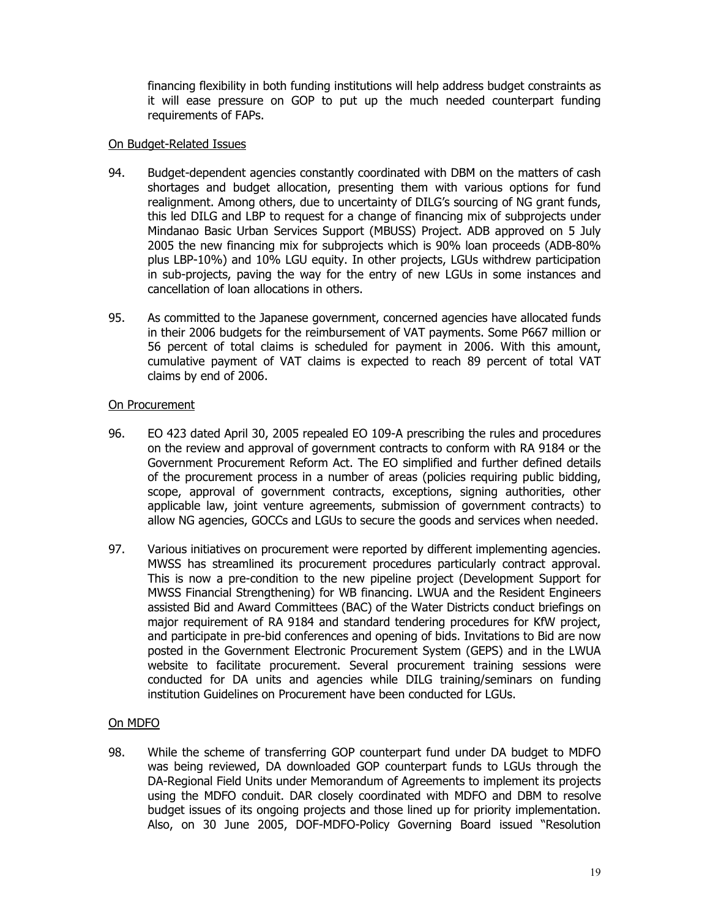financing flexibility in both funding institutions will help address budget constraints as it will ease pressure on GOP to put up the much needed counterpart funding requirements of FAPs.

### On Budget-Related Issues

- 94. Budget-dependent agencies constantly coordinated with DBM on the matters of cash shortages and budget allocation, presenting them with various options for fund realignment. Among others, due to uncertainty of DILG's sourcing of NG grant funds, this led DILG and LBP to request for a change of financing mix of subprojects under Mindanao Basic Urban Services Support (MBUSS) Project. ADB approved on 5 July 2005 the new financing mix for subprojects which is 90% loan proceeds (ADB-80% plus LBP-10%) and 10% LGU equity. In other projects, LGUs withdrew participation in sub-projects, paving the way for the entry of new LGUs in some instances and cancellation of loan allocations in others.
- 95. As committed to the Japanese government, concerned agencies have allocated funds in their 2006 budgets for the reimbursement of VAT payments. Some P667 million or 56 percent of total claims is scheduled for payment in 2006. With this amount, cumulative payment of VAT claims is expected to reach 89 percent of total VAT claims by end of 2006.

## On Procurement

- 96. EO 423 dated April 30, 2005 repealed EO 109-A prescribing the rules and procedures on the review and approval of government contracts to conform with RA 9184 or the Government Procurement Reform Act. The EO simplified and further defined details of the procurement process in a number of areas (policies requiring public bidding, scope, approval of government contracts, exceptions, signing authorities, other applicable law, joint venture agreements, submission of government contracts) to allow NG agencies, GOCCs and LGUs to secure the goods and services when needed.
- 97. Various initiatives on procurement were reported by different implementing agencies. MWSS has streamlined its procurement procedures particularly contract approval. This is now a pre-condition to the new pipeline project (Development Support for MWSS Financial Strengthening) for WB financing. LWUA and the Resident Engineers assisted Bid and Award Committees (BAC) of the Water Districts conduct briefings on major requirement of RA 9184 and standard tendering procedures for KfW project, and participate in pre-bid conferences and opening of bids. Invitations to Bid are now posted in the Government Electronic Procurement System (GEPS) and in the LWUA website to facilitate procurement. Several procurement training sessions were conducted for DA units and agencies while DILG training/seminars on funding institution Guidelines on Procurement have been conducted for LGUs.

## On MDFO

98. While the scheme of transferring GOP counterpart fund under DA budget to MDFO was being reviewed, DA downloaded GOP counterpart funds to LGUs through the DA-Regional Field Units under Memorandum of Agreements to implement its projects using the MDFO conduit. DAR closely coordinated with MDFO and DBM to resolve budget issues of its ongoing projects and those lined up for priority implementation. Also, on 30 June 2005, DOF-MDFO-Policy Governing Board issued "Resolution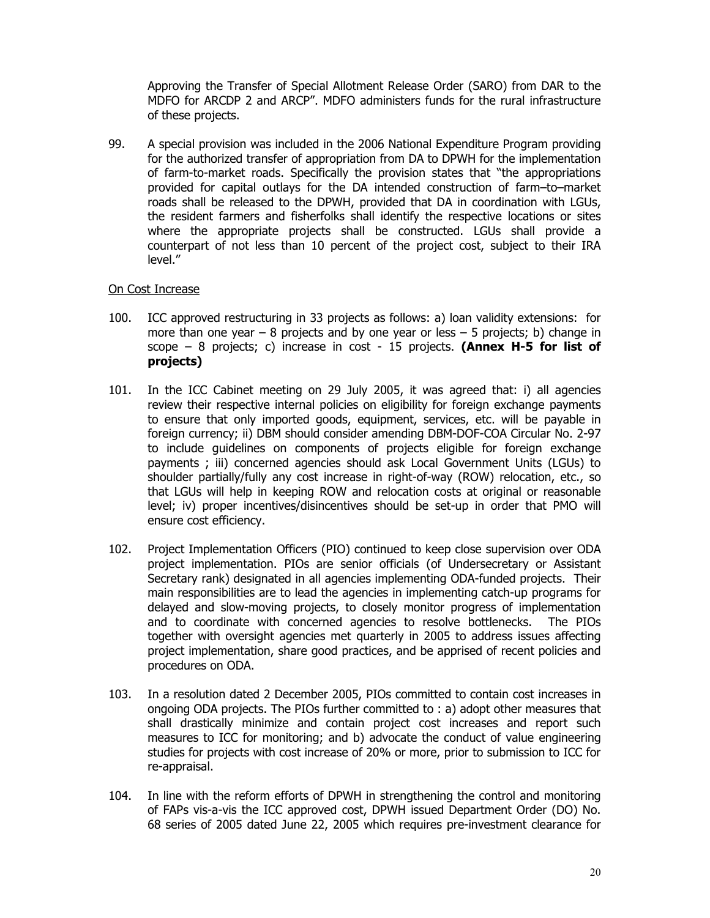Approving the Transfer of Special Allotment Release Order (SARO) from DAR to the MDFO for ARCDP 2 and ARCP". MDFO administers funds for the rural infrastructure of these projects.

99. A special provision was included in the 2006 National Expenditure Program providing for the authorized transfer of appropriation from DA to DPWH for the implementation of farm-to-market roads. Specifically the provision states that "the appropriations provided for capital outlays for the DA intended construction of farm–to–market roads shall be released to the DPWH, provided that DA in coordination with LGUs, the resident farmers and fisherfolks shall identify the respective locations or sites where the appropriate projects shall be constructed. LGUs shall provide a counterpart of not less than 10 percent of the project cost, subject to their IRA level."

### On Cost Increase

- 100. ICC approved restructuring in 33 projects as follows: a) loan validity extensions: for more than one year  $-8$  projects and by one year or less  $-5$  projects; b) change in scope – 8 projects; c) increase in cost - 15 projects. **(Annex H-5 for list of projects)**
- 101. In the ICC Cabinet meeting on 29 July 2005, it was agreed that: i) all agencies review their respective internal policies on eligibility for foreign exchange payments to ensure that only imported goods, equipment, services, etc. will be payable in foreign currency; ii) DBM should consider amending DBM-DOF-COA Circular No. 2-97 to include guidelines on components of projects eligible for foreign exchange payments ; iii) concerned agencies should ask Local Government Units (LGUs) to shoulder partially/fully any cost increase in right-of-way (ROW) relocation, etc., so that LGUs will help in keeping ROW and relocation costs at original or reasonable level; iv) proper incentives/disincentives should be set-up in order that PMO will ensure cost efficiency.
- 102. Project Implementation Officers (PIO) continued to keep close supervision over ODA project implementation. PIOs are senior officials (of Undersecretary or Assistant Secretary rank) designated in all agencies implementing ODA-funded projects. Their main responsibilities are to lead the agencies in implementing catch-up programs for delayed and slow-moving projects, to closely monitor progress of implementation and to coordinate with concerned agencies to resolve bottlenecks. The PIOs together with oversight agencies met quarterly in 2005 to address issues affecting project implementation, share good practices, and be apprised of recent policies and procedures on ODA.
- 103. In a resolution dated 2 December 2005, PIOs committed to contain cost increases in ongoing ODA projects. The PIOs further committed to : a) adopt other measures that shall drastically minimize and contain project cost increases and report such measures to ICC for monitoring; and b) advocate the conduct of value engineering studies for projects with cost increase of 20% or more, prior to submission to ICC for re-appraisal.
- 104. In line with the reform efforts of DPWH in strengthening the control and monitoring of FAPs vis-a-vis the ICC approved cost, DPWH issued Department Order (DO) No. 68 series of 2005 dated June 22, 2005 which requires pre-investment clearance for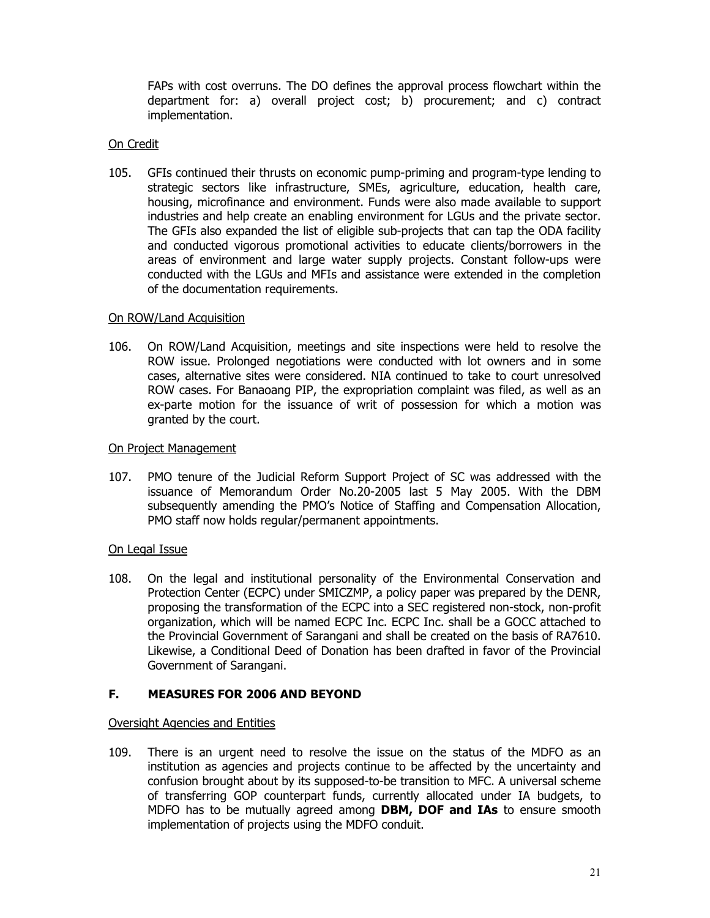FAPs with cost overruns. The DO defines the approval process flowchart within the department for: a) overall project cost; b) procurement; and c) contract implementation.

### On Credit

105. GFIs continued their thrusts on economic pump-priming and program-type lending to strategic sectors like infrastructure, SMEs, agriculture, education, health care, housing, microfinance and environment. Funds were also made available to support industries and help create an enabling environment for LGUs and the private sector. The GFIs also expanded the list of eligible sub-projects that can tap the ODA facility and conducted vigorous promotional activities to educate clients/borrowers in the areas of environment and large water supply projects. Constant follow-ups were conducted with the LGUs and MFIs and assistance were extended in the completion of the documentation requirements.

### On ROW/Land Acquisition

106. On ROW/Land Acquisition, meetings and site inspections were held to resolve the ROW issue. Prolonged negotiations were conducted with lot owners and in some cases, alternative sites were considered. NIA continued to take to court unresolved ROW cases. For Banaoang PIP, the expropriation complaint was filed, as well as an ex-parte motion for the issuance of writ of possession for which a motion was granted by the court.

### On Project Management

107. PMO tenure of the Judicial Reform Support Project of SC was addressed with the issuance of Memorandum Order No.20-2005 last 5 May 2005. With the DBM subsequently amending the PMO's Notice of Staffing and Compensation Allocation, PMO staff now holds regular/permanent appointments.

### On Legal Issue

108. On the legal and institutional personality of the Environmental Conservation and Protection Center (ECPC) under SMICZMP, a policy paper was prepared by the DENR, proposing the transformation of the ECPC into a SEC registered non-stock, non-profit organization, which will be named ECPC Inc. ECPC Inc. shall be a GOCC attached to the Provincial Government of Sarangani and shall be created on the basis of RA7610. Likewise, a Conditional Deed of Donation has been drafted in favor of the Provincial Government of Sarangani.

## **F. MEASURES FOR 2006 AND BEYOND**

### Oversight Agencies and Entities

109. There is an urgent need to resolve the issue on the status of the MDFO as an institution as agencies and projects continue to be affected by the uncertainty and confusion brought about by its supposed-to-be transition to MFC. A universal scheme of transferring GOP counterpart funds, currently allocated under IA budgets, to MDFO has to be mutually agreed among **DBM, DOF and IAs** to ensure smooth implementation of projects using the MDFO conduit.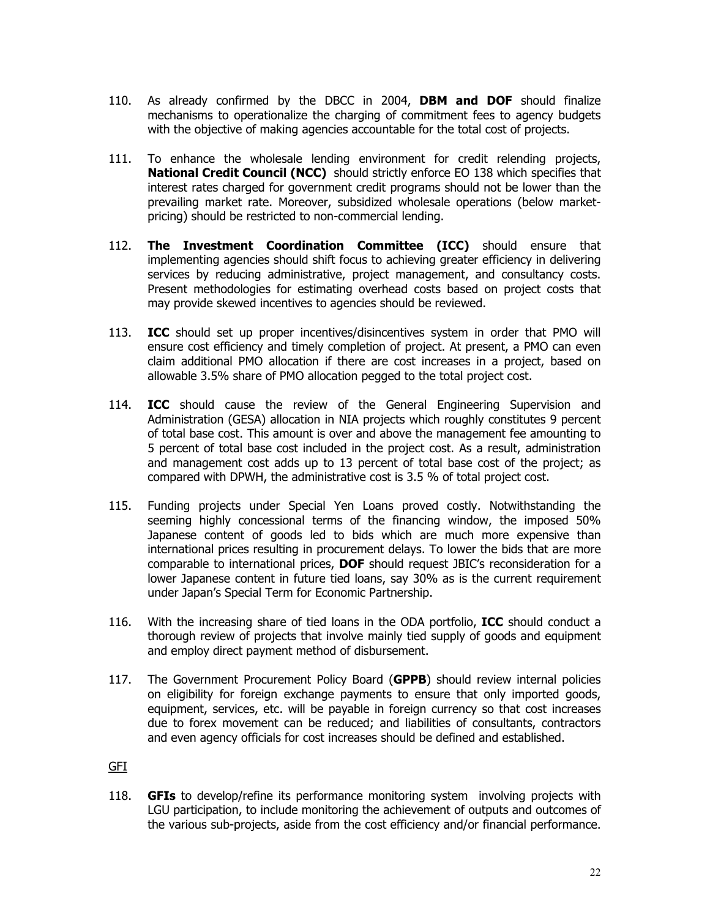- 110. As already confirmed by the DBCC in 2004, **DBM and DOF** should finalize mechanisms to operationalize the charging of commitment fees to agency budgets with the objective of making agencies accountable for the total cost of projects.
- 111. To enhance the wholesale lending environment for credit relending projects, **National Credit Council (NCC)** should strictly enforce EO 138 which specifies that interest rates charged for government credit programs should not be lower than the prevailing market rate. Moreover, subsidized wholesale operations (below marketpricing) should be restricted to non-commercial lending.
- 112. **The Investment Coordination Committee (ICC)** should ensure that implementing agencies should shift focus to achieving greater efficiency in delivering services by reducing administrative, project management, and consultancy costs. Present methodologies for estimating overhead costs based on project costs that may provide skewed incentives to agencies should be reviewed.
- 113. **ICC** should set up proper incentives/disincentives system in order that PMO will ensure cost efficiency and timely completion of project. At present, a PMO can even claim additional PMO allocation if there are cost increases in a project, based on allowable 3.5% share of PMO allocation pegged to the total project cost.
- 114. **ICC** should cause the review of the General Engineering Supervision and Administration (GESA) allocation in NIA projects which roughly constitutes 9 percent of total base cost. This amount is over and above the management fee amounting to 5 percent of total base cost included in the project cost. As a result, administration and management cost adds up to 13 percent of total base cost of the project; as compared with DPWH, the administrative cost is 3.5 % of total project cost.
- 115. Funding projects under Special Yen Loans proved costly. Notwithstanding the seeming highly concessional terms of the financing window, the imposed 50% Japanese content of goods led to bids which are much more expensive than international prices resulting in procurement delays. To lower the bids that are more comparable to international prices, **DOF** should request JBIC's reconsideration for a lower Japanese content in future tied loans, say 30% as is the current requirement under Japan's Special Term for Economic Partnership.
- 116. With the increasing share of tied loans in the ODA portfolio, **ICC** should conduct a thorough review of projects that involve mainly tied supply of goods and equipment and employ direct payment method of disbursement.
- 117. The Government Procurement Policy Board (**GPPB**) should review internal policies on eligibility for foreign exchange payments to ensure that only imported goods, equipment, services, etc. will be payable in foreign currency so that cost increases due to forex movement can be reduced; and liabilities of consultants, contractors and even agency officials for cost increases should be defined and established.

GFI

118. **GFIs** to develop/refine its performance monitoring system involving projects with LGU participation, to include monitoring the achievement of outputs and outcomes of the various sub-projects, aside from the cost efficiency and/or financial performance.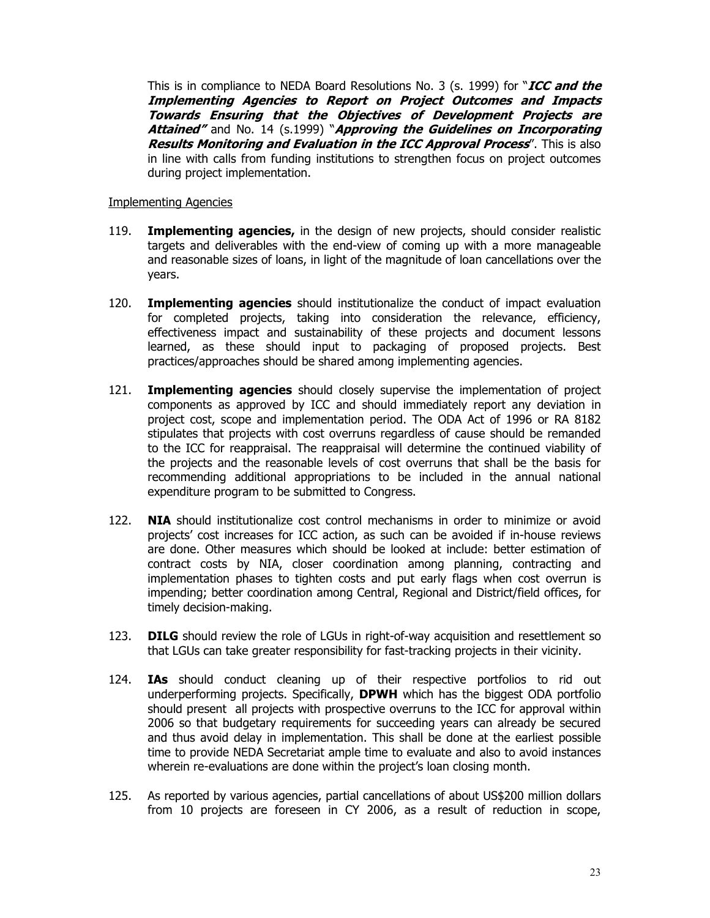This is in compliance to NEDA Board Resolutions No. 3 (s. 1999) for "**ICC and the Implementing Agencies to Report on Project Outcomes and Impacts Towards Ensuring that the Objectives of Development Projects are Attained"** and No. 14 (s.1999) "**Approving the Guidelines on Incorporating Results Monitoring and Evaluation in the ICC Approval Process**". This is also in line with calls from funding institutions to strengthen focus on project outcomes during project implementation.

#### Implementing Agencies

- 119. **Implementing agencies,** in the design of new projects, should consider realistic targets and deliverables with the end-view of coming up with a more manageable and reasonable sizes of loans, in light of the magnitude of loan cancellations over the years.
- 120. **Implementing agencies** should institutionalize the conduct of impact evaluation for completed projects, taking into consideration the relevance, efficiency, effectiveness impact and sustainability of these projects and document lessons learned, as these should input to packaging of proposed projects. Best practices/approaches should be shared among implementing agencies.
- 121. **Implementing agencies** should closely supervise the implementation of project components as approved by ICC and should immediately report any deviation in project cost, scope and implementation period. The ODA Act of 1996 or RA 8182 stipulates that projects with cost overruns regardless of cause should be remanded to the ICC for reappraisal. The reappraisal will determine the continued viability of the projects and the reasonable levels of cost overruns that shall be the basis for recommending additional appropriations to be included in the annual national expenditure program to be submitted to Congress.
- 122. **NIA** should institutionalize cost control mechanisms in order to minimize or avoid projects' cost increases for ICC action, as such can be avoided if in-house reviews are done. Other measures which should be looked at include: better estimation of contract costs by NIA, closer coordination among planning, contracting and implementation phases to tighten costs and put early flags when cost overrun is impending; better coordination among Central, Regional and District/field offices, for timely decision-making.
- 123. **DILG** should review the role of LGUs in right-of-way acquisition and resettlement so that LGUs can take greater responsibility for fast-tracking projects in their vicinity.
- 124. **IAs** should conduct cleaning up of their respective portfolios to rid out underperforming projects. Specifically, **DPWH** which has the biggest ODA portfolio should present all projects with prospective overruns to the ICC for approval within 2006 so that budgetary requirements for succeeding years can already be secured and thus avoid delay in implementation. This shall be done at the earliest possible time to provide NEDA Secretariat ample time to evaluate and also to avoid instances wherein re-evaluations are done within the project's loan closing month.
- 125. As reported by various agencies, partial cancellations of about US\$200 million dollars from 10 projects are foreseen in CY 2006, as a result of reduction in scope,